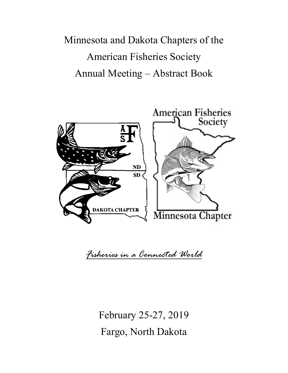Minnesota and Dakota Chapters of the American Fisheries Society Annual Meeting – Abstract Book



*Fisheries in a Connected World*

February 25-27, 2019 Fargo, North Dakota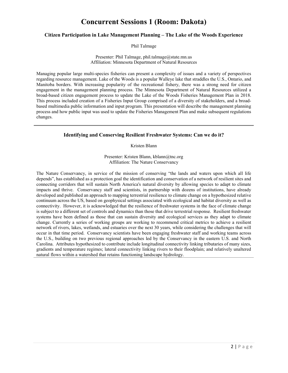# **Concurrent Sessions 1 (Room: Dakota)**

## **Citizen Participation in Lake Management Planning – The Lake of the Woods Experience**

Phil Talmage

### Presenter: Phil Talmage, phil.talmage@state.mn.us Affiliation: Minnesota Department of Natural Resources

Managing popular large multi-species fisheries can present a complexity of issues and a variety of perspectives regarding resource management. Lake of the Woods is a popular Walleye lake that straddles the U.S., Ontario, and Manitoba borders. With increasing popularity of the recreational fishery, there was a strong need for citizen engagement in the management planning process. The Minnesota Department of Natural Resources utilized a broad-based citizen engagement process to update the Lake of the Woods Fisheries Management Plan in 2018. This process included creation of a Fisheries Input Group comprised of a diversity of stakeholders, and a broadbased multimedia public information and input program. This presentation will describe the management planning process and how public input was used to update the Fisheries Management Plan and make subsequent regulations changes.

# **Identifying and Conserving Resilient Freshwater Systems: Can we do it?**

Kristen Blann

Presenter: Kristen Blann, kblann@tnc.org Affiliation: The Nature Conservancy

The Nature Conservancy, in service of the mission of conserving "the lands and waters upon which all life depends", has established as a protection goal the identification and conservation of a network of resilient sites and connecting corridors that will sustain North America's natural diversity by allowing species to adapt to climate impacts and thrive. Conservancy staff and scientists, in partnership with dozens of institutions, have already developed and published an approach to mapping terrestrial resilience to climate change on a hypothesized relative continuum across the US, based on geophysical settings associated with ecological and habitat diversity as well as connectivity. However, it is acknowledged that the resilience of freshwater systems in the face of climate change is subject to a different set of controls and dynamics than those that drive terrestrial response. Resilient freshwater systems have been defined as those that can sustain diversity and ecological services as they adapt to climate change. Currently a series of working groups are working to recommend critical metrics to achieve a resilient network of rivers, lakes, wetlands, and estuaries over the next 30 years, while considering the challenges that will occur in that time period. Conservancy scientists have been engaging freshwater staff and working teams across the U.S., building on two previous regional approaches led by the Conservancy in the eastern U.S. and North Carolina. Attributes hypothesized to contribute include longitudinal connectivity linking tributaries of many sizes, gradients and temperature regimes; lateral connectivity linking rivers to their floodplain; and relatively unaltered natural flows within a watershed that retains functioning landscape hydrology.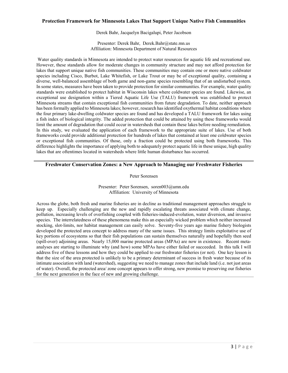## **Protection Framework for Minnesota Lakes That Support Unique Native Fish Communities**

Derek Bahr, Jacquelyn Bacigalupi, Peter Jacobson

Presenter: Derek Bahr, Derek.Bahr@state.mn.us Affiliation: Minnesota Department of Natural Resources

Water quality standards in Minnesota are intended to protect water resources for aquatic life and recreational use. However, these standards allow for moderate changes in community structure and may not afford protection for lakes that support unique native fish communities. These communities may contain one or more native coldwater species including Cisco, Burbot, Lake Whitefish, or Lake Trout or may be of exceptional quality, containing a diverse, well-balanced assemblage of both game and non-game species resembling that of an undisturbed system. In some states, measures have been taken to provide protection for similar communities. For example, water quality standards were established to protect habitat in Wisconsin lakes where coldwater species are found. Likewise, an exceptional use designation within a Tiered Aquatic Life Use (TALU) framework was established to protect Minnesota streams that contain exceptional fish communities from future degradation. To date, neither approach has been formally applied to Minnesota lakes; however, research has identified oxythermal habitat conditions where the four primary lake-dwelling coldwater species are found and has developed a TALU framework for lakes using a fish index of biological integrity. The added protection that could be attained by using these frameworks would limit the amount of degradation that could occur in watersheds that contain these lakes before needing remediation. In this study, we evaluated the application of each framework to the appropriate suite of lakes. Use of both frameworks could provide additional protection for hundreds of lakes that contained at least one coldwater species or exceptional fish communities. Of those, only a fraction could be protected using both frameworks. This difference highlights the importance of applying both to adequately protect aquatic life in these unique, high quality lakes that are oftentimes located in watersheds where little human disturbance has occurred.

## **Freshwater Conservation Zones: a New Approach to Managing our Freshwater Fisheries**

Peter Sorensen

Presenter: Peter Sorensen, soren003@umn.edu Affiliation: University of Minnesota

Across the globe, both fresh and marine fisheries are in decline as traditional management approaches struggle to keep up. Especially challenging are the new and rapidly escalating threats associated with climate change, pollution, increasing levels of overfishing coupled with fisheries-induced-evolution, water diversion, and invasive species. The interrelatedness of these phenomena make this an especially wicked problem which neither increased stocking, slot-limits, nor habitat management can easily solve. Seventy-five years ago marine fishery biologists developed the protected area concept to address many of the same issues. This strategy limits exploitative use of key portions of ecosystems so that their fish populations can sustain themselves naturally and hopefully then seed (spill-over) adjoining areas. Nearly 15,000 marine protected areas (MPAs) are now in existence. Recent metaanalyses are starting to illuminate why (and how) some MPAs have either failed or succeeded. In this talk I will address five of these lessons and how they could be applied to our freshwater fisheries (or not). One key lesson is that the size of the area protected is unlikely to be a primary determinant of success in fresh water because of its intimate association with land (watershed), suggesting we need to manage zones that include land (i.e. not just areas of water). Overall, the protected area/ zone concept appears to offer strong, new promise to preserving our fisheries for the next generation in the face of new and growing challenge.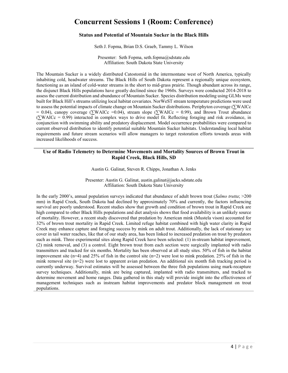# **Concurrent Sessions 1 (Room: Conference)**

## **Status and Potential of Mountain Sucker in the Black Hills**

Seth J. Fopma, Brian D.S. Graeb, Tammy L. Wilson

Presenter: Seth Fopma, seth.fopma@sdstate.edu Affiliation: South Dakota State University

The Mountain Sucker is a widely distributed Catostomid in the intermontane west of North America, typically inhabiting cold, headwater streams. The Black Hills of South Dakota represent a regionally unique ecosystem, functioning as an island of cold-water streams in the short to mid-grass prairie. Though abundant across its range, the disjunct Black Hills populations have greatly declined since the 1960s. Surveys were conducted 2014-2018 to assess the current distribution and abundance of Mountain Sucker. Species distribution modeling using GLMs were built for Black Hill's streams utilizing local habitat covariates. NorWeST stream temperature predictions were used to assess the potential impacts of climate change on Mountain Sucker distributions. Periphyton coverage (∑WAICc = 0.04), canopy coverage (∑WAICc =0.04), stream slope (∑WAICc = 0.99), and Brown Trout abundance (∑WAICc = 0.99) interacted in complex ways to drive model fit. Reflecting foraging and risk avoidance, in conjunction with swimming ability and predatory displacement. Model occurrence probabilities were compared to current observed distribution to identify potential suitable Mountain Sucker habitats. Understanding local habitat requirements and future stream scenarios will allow managers to target restoration efforts towards areas with increased likelihoods of success.

## **Use of Radio Telemetry to Determine Movements and Mortality Sources of Brown Trout in Rapid Creek, Black Hills, SD**

Austin G. Galinat, Steven R. Chipps, Jonathan A. Jenks

Presenter: Austin G. Galinat, austin.galinat@jacks.sdstate.edu Affiliation: South Dakota State University

In the early 2000's, annual population surveys indicated that abundance of adult brown trout (*Salmo trutta*; >200 mm) in Rapid Creek, South Dakota had declined by approximately 70% and currently, the factors influencing survival are poorly understood. Recent studies show that growth and condition of brown trout in Rapid Creek are high compared to other Black Hills populations and diet analysis shows that food availability is an unlikely source of mortality. However, a recent study discovered that predation by American mink (Mustela vison) accounted for 32% of brown trout mortality in Rapid Creek. Limited refuge habitat combined with high water clarity in Rapid Creek may enhance capture and foraging success by mink on adult trout. Additionally, the lack of stationary ice cover in tail water reaches, like that of our study area, has been linked to increased predation on trout by predators such as mink. Three experimental sites along Rapid Creek have been selected: (1) in-stream habitat improvement, (2) mink removal, and (3) a control. Eight brown trout from each section were surgically implanted with radio transmitters and tracked for six months. Mortality has been observed at all study sites. 50% of fish in the habitat improvement site (n=4) and 25% of fish in the control site (n=2) were lost to mink predation. 25% of fish in the mink removal site (n=2) were lost to apparent avian predation. An additional six month fish tracking period is currently underway. Survival estimates will be assessed between the three fish populations using mark-recapture survey techniques. Additionally, mink are being captured, implanted with radio transmitters, and tracked to determine movement and home ranges. Data gathered in this study will provide insight into the effectiveness of management techniques such as instream habitat improvements and predator block management on trout populations.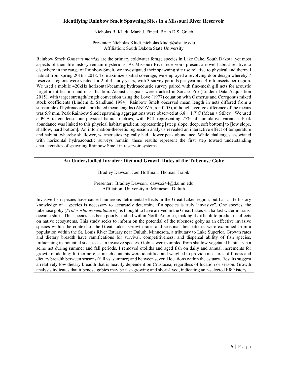## **Identifying Rainbow Smelt Spawning Sites in a Missouri River Reservoir**

Nicholas B. Kludt, Mark J. Fincel, Brian D.S. Graeb

Presenter: Nicholas Kludt, nicholas.kludt@sdstate.edu Affiliation: South Dakota State University

Rainbow Smelt *Osmerus mordax* are the primary coldwater forage species in Lake Oahe, South Dakota, yet most aspects of their life history remain mysterious. As Missouri River reservoirs present a novel habitat relative to elsewhere in the range of Rainbow Smelt, we investigated their spawning site use relative to physical and thermal habitat from spring 2016 - 2018. To maximize spatial coverage, we employed a revolving door design whereby 7 reservoir regions were visited for 2 of 3 study years, with 3 survey periods per year and 4-6 transects per region. We used a mobile 420kHz horizontal-beaming hydroacoustic survey paired with fine-mesh gill nets for acoustic target identification and classification. Acoustic signals were tracked in Sonar5 Pro (Lindem Data Acquisition 2015), with target strength/length conversion using the Love (1977) equation with Osmerus and Coregonus mixed stock coefficients (Lindem & Sandlund 1984). Rainbow Smelt observed mean length in nets differed from a subsample of hydroacoustic predicted mean lengths (ANOVA,  $\alpha$  = 0.05), although average difference of the means was 5.9 mm. Peak Rainbow Smelt spawning aggregations were observed at  $6.8 \pm 1.7^{\circ}$ C (Mean  $\pm$  StDev). We used a PCA to condense our physical habitat metrics, with PC1 representing 77% of cumulative variance. Peak abundance was linked to this physical habitat gradient, representing [steep slope, deep, soft bottom] to [low slope, shallow, hard bottom]. An information-theoretic regression analysis revealed an interactive effect of temperature and habitat, whereby shallower, warmer sites typically had a lower peak abundance. While challenges associated with horizontal hydroacoustic surveys remain, these results represent the first step toward understanding characteristics of spawning Rainbow Smelt in reservoir systems.

## **An Understudied Invader: Diet and Growth Rates of the Tubenose Goby**

#### Bradley Dawson, Joel Hoffman, Thomas Hrabik

Presenter: Bradley Dawson, dawso244@d.umn.edu Affiliation: University of Minnesota Duluth

Invasive fish species have caused numerous detrimental effects in the Great Lakes region, but basic life history knowledge of a species is necessary to accurately determine if a species is truly "invasive". One species, the tubenose goby (*Proterorhinus semilunaris*), is thought to have arrived in the Great Lakes via ballast water in transoceanic ships. This species has been poorly studied within North America, making it difficult to predict its effects on native ecosystems. This study seeks to inform on the potential of the tubenose goby as an effective invasive species within the context of the Great Lakes. Growth rates and seasonal diet patterns were examined from a population within the St. Louis River Estuary near Duluth, Minnesota, a tributary to Lake Superior. Growth rates and dietary breadth have ramifications for survival, competitiveness, and dispersal ability of fish species, influencing its potential success as an invasive species. Gobies were sampled from shallow vegetated habitat via a seine net during summer and fall periods. I removed otoliths and aged fish on daily and annual increments for growth modelling; furthermore, stomach contents were identified and weighed to provide measures of fitness and dietary breadth between seasons (fall vs. summer) and between several locations within the estuary. Results suggest a relatively low dietary breadth that is heavily dependent on Crustacea, regardless of location or season. Growth analysis indicates that tubenose gobies may be fast-growing and short-lived, indicating an r-selected life history.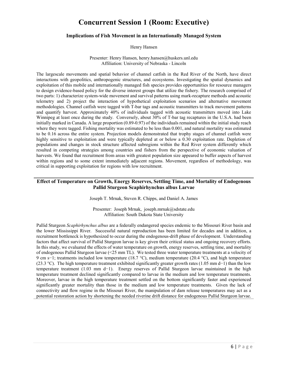# **Concurrent Session 1 (Room: Executive)**

#### **Implications of Fish Movement in an Internationally Managed System**

Henry Hansen

Presenter: Henry Hansen, henry.hansen@huskers.unl.edu Affiliation: University of Nebraska - Lincoln

The largescale movements and spatial behavior of channel catfish in the Red River of the North, have direct interactions with geopolitics, anthropogenic structures, and ecosystems. Investigating the spatial dynamics and exploitation of this mobile and internationally managed fish species provides opportunities for resource managers to design evidence-based policy for the diverse interest groups that utilize the fishery. The research comprised of two parts: 1) characterize system-wide movement and survival patterns using mark-recapture methods and acoustic telemetry and 2) project the interaction of hypothetical exploitation scenarios and alternative movement methodologies. Channel catfish were tagged with T-bar tags and acoustic transmitters to track movement patterns and quantify harvest. Approximately 40% of individuals tagged with acoustic transmitters moved into Lake Winnipeg at least once during the study. Conversely, about 30% of T-bar tag recaptures in the U.S.A. had been initially marked in Canada. A large proportion (0.89-0.97) of the individuals remained within the initial study reach where they were tagged. Fishing mortality was estimated to be less than 0.001, and natural mortality was estimated to be 0.16 across the entire system. Projection models demonstrated that trophy stages of channel catfish were highly sensitive to exploitation and were typically depleted at or below a 0.30 exploitation rate. Depletion of populations and changes in stock structure affected subregions within the Red River system differently which resulted in competing strategies among countries and fishers from the perspective of economic valuation of harvests. We found that recruitment from areas with greatest population size appeared to buffer aspects of harvest within regions and to some extent immediately adjacent regions. Movement, regardless of methodology, was critical in supporting exploitation for regions with low recruitment.

## **Effect of Temperature on Growth, Energy Reserves, Settling Time, and Mortality of Endogenous Pallid Sturgeon Scaphirhynchus albus Larvae**

Joseph T. Mrnak, Steven R. Chipps, and Daniel A. James

Presenter: Joseph Mrnak, joseph.mrnak@sdstate.edu Affiliation: South Dakota State University

Pallid Sturgeon *Scaphirhynchus albus* are a federally endangered species endemic to the Missouri River basin and the lower Mississippi River. Successful natural reproduction has been limited for decades and in addition, a recruitment bottleneck is hypothesized to occur during the endogenous-drift phase of development. Understanding factors that affect survival of Pallid Sturgeon larvae is key given their critical status and ongoing recovery efforts. In this study, we evaluated the effects of water temperature on growth, energy reserves, settling time, and mortality of endogenous Pallid Sturgeon larvae (<25 mm TL). We tested three water temperature treatments at a velocity of 9 cm s−1; treatments included low temperature (18.7 °C), medium temperature (20.4 °C), and high temperature (23.3 °C). The high temperature treatment exhibited significantly greater growth rates (1.05 mm d−1) than the low temperature treatment (1.03 mm d−1). Energy reserves of Pallid Sturgeon larvae maintained in the high temperature treatment declined significantly compared to larvae in the medium and low temperature treatments. Moreover, larvae in the high temperature treatment settled on the bottom significantly faster and experienced significantly greater mortality than those in the medium and low temperature treatments. Given the lack of connectivity and flow regime in the Missouri River, the manipulation of dam release temperatures may act as a potential restoration action by shortening the needed riverine drift distance for endogenous Pallid Sturgeon larvae.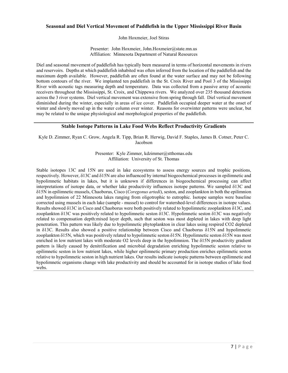### **Seasonal and Diel Vertical Movement of Paddlefish in the Upper Mississippi River Basin**

John Hoxmeier, Joel Stiras

Presenter: John Hoxmeier, John.Hoxmeier@state.mn.us Affiliation: Minnesota Department of Natural Resources

Diel and seasonal movement of paddlefish has typically been measured in terms of horizontal movements in rivers and reservoirs. Depths at which paddlefish inhabited was often inferred from the location of the paddlefish and the maximum depth available. However, paddlefish are often found at the water surface and may not be following bottom contours of the river. We implanted ten paddlefish in the St. Croix River and Pool 3 of the Mississippi River with acoustic tags measuring depth and temperature. Data was collected from a passive array of acoustic receivers throughout the Mississippi, St. Croix, and Chippewa rivers. We analyzed over 235 thousand detections across the 3 river systems. Diel vertical movement was extensive from spring through fall. Diel vertical movement diminished during the winter, especially in areas of ice cover. Paddlefish occupied deeper water at the onset of winter and slowly moved up in the water column over winter. Reasons for overwinter patterns were unclear, but may be related to the unique physiological and morphological properties of the paddlefish.

### **Stable Isotope Patterns in Lake Food Webs Reflect Productivity Gradients**

Kyle D. Zimmer, Ryan C. Grow, Angela R. Tipp, Brian R. Herwig, David F. Staples, James B. Cotner, Peter C. Jacobson

> Presenter: Kyle Zimmer, kdzimmer@stthomas.edu Affiliation: University of St. Thomas

Stable isotopes 13C and 15N are used in lake ecosystems to assess energy sources and trophic positions, respectively. However, δ13C and δ15N are also influenced by internal biogeochemical processes in epilimnetic and hypolimnetic habitats in lakes, but it is unknown if differences in biogeochemical processing can affect interpretations of isotope data, or whether lake productivity influences isotope patterns. We sampled δ13C and δ15N in epilimnetic mussels, Chaoborus, Cisco (*Coregonus artedi*), seston, and zooplankton in both the epilimnion and hypolimnion of 22 Minnesota lakes ranging from oligotrophic to eutrophic. Isotope samples were baseline corrected using mussels in each lake (sample - mussel) to control for watershed-level differences in isotope values. Results showed δ13C in Cisco and Chaoborus were both positively related to hypolimnetic zooplankton δ13C, and zooplankton δ13C was positively related to hypolimnetic seston δ13C. Hypolimnetic seston δ13C was negatively related to compensation depth:mixed layer depth, such that seston was most depleted in lakes with deep light penetration. This pattern was likely due to hypolimnetic phytoplankton in clear lakes using respired CO2 depleted in δ13C. Results also showed a positive relationship between Cisco and Chaoborus δ15N and hypolimnetic zooplankton δ15N, which was positively related to hypolimnetic seston δ15N. Hypolimnetic seston δ15N was most enriched in low nutrient lakes with moderate O2 levels deep in the hypolimnion. The δ15N productivity gradient pattern is likely caused by denitrification and microbial degradation enriching hypolimnetic seston relative to epilimnetic seston in low nutrient lakes, while higher epilimnetic primary production enriches epilimnetic seston relative to hypolimnetic seston in high nutrient lakes. Our results indicate isotopic patterns between epilimnetic and hypolimnetic organisms change with lake productivity and should be accounted for in isotope studies of lake food webs.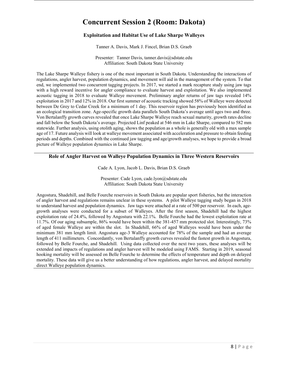# **Concurrent Session 2 (Room: Dakota)**

# **Exploitation and Habitat Use of Lake Sharpe Walleyes**

Tanner A. Davis, Mark J. Fincel, Brian D.S. Graeb

Presenter: Tanner Davis, tanner.davis@sdstate.edu Affiliation: South Dakota State University

The Lake Sharpe Walleye fishery is one of the most important in South Dakota. Understanding the interactions of regulations, angler harvest, population dynamics, and movement will aid in the management of the system. To that end, we implemented two concurrent tagging projects. In 2017, we started a mark recapture study using jaw tags with a high reward incentive for angler compliance to evaluate harvest and exploitation. We also implemented acoustic tagging in 2018 to evaluate Walleye movement. Preliminary angler returns of jaw tags revealed 14% exploitation in 2017 and 12% in 2018. Our first summer of acoustic tracking showed 58% of Walleye were detected between De Grey to Cedar Creek for a minimum of 1 day. This reservoir region has previously been identified as an ecological transition zone. Age-specific growth data parallels South Dakota's average until ages two and three. Von Bertalanffy growth curves revealed that once Lake Sharpe Walleye reach sexual maturity, growth rates decline and fall below the South Dakota's average. Projected Linf peaked at 546 mm in Lake Sharpe, compared to 582 mm statewide. Further analysis, using otolith aging, shows the population as a whole is generally old with a max sample age of 17. Future analysis will look at walleye movement associated with acceleration and pressure to obtain feeding periods and depths. Combined with the continued jaw tagging and age/growth analyses, we hope to provide a broad picture of Walleye population dynamics in Lake Sharpe.

# **Role of Angler Harvest on Walleye Population Dynamics in Three Western Reservoirs**

Cade A. Lyon, Jacob L. Davis, Brian D.S. Graeb

Presenter: Cade Lyon, cade.lyon@sdstate.edu Affiliation: South Dakota State University

Angostura, Shadehill, and Belle Fourche reservoirs in South Dakota are popular sport fisheries, but the interaction of angler harvest and regulations remains unclear in these systems. A pilot Walleye tagging study began in 2018 to understand harvest and population dynamics. Jaw tags were attached at a rate of 500 per reservoir. In each, agegrowth analyses were conducted for a subset of Walleyes. After the first season, Shadehill had the highest exploitation rate of 24.4%, followed by Angostura with 22.1%. Belle Fourche had the lowest exploitation rate at 11.7%. Of our aging subsample, 86% would have been within the 381-457 mm protected slot. Interestingly, 73% of aged female Walleye are within the slot. In Shadehill, 66% of aged Walleyes would have been under the minimum 381 mm length limit. Angostura age-3 Walleye accounted for 78% of the sample and had an average length of 411 millimeters. Concordantly, von Bertalanffy growth curves revealed the fastest growth in Angostura, followed by Belle Fourche, and Shadehill. Using data collected over the next two years, these analyses will be extended and impacts of regulations and angler harvest will be modeled using FAMS. Starting in 2019, seasonal hooking mortality will be assessed on Belle Fourche to determine the effects of temperature and depth on delayed mortality. These data will give us a better understanding of how regulations, angler harvest, and delayed mortality direct Walleye population dynamics.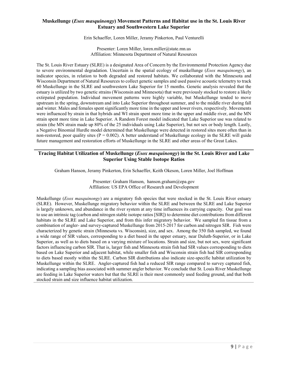# **Muskellunge (***Esox masquinongy***) Movement Patterns and Habitat use in the St. Louis River Estuary and Southwestern Lake Superior**

Erin Schaeffer, Loren Miller, Jeramy Pinkerton, Paul Venturelli

Presenter: Loren Miller, loren.miller@state.mn.us Affiliation: Minnesota Department of Natural Resources

The St. Louis River Estuary (SLRE) is a designated Area of Concern by the Environmental Protection Agency due to severe environmental degradation. Uncertain is the spatial ecology of muskellunge (*Esox masquinongy*), an indicator species, in relation to both degraded and restored habitats. We collaborated with the Minnesota and Wisconsin Department of Natural Resources to collect genetic samples and used passive acoustic telemetry to track 60 Muskellunge in the SLRE and southwestern Lake Superior for 15 months. Genetic analysis revealed that the estuary is utilized by two genetic strains (Wisconsin and Minnesota) that were previously stocked to restore a likely extirpated population. Individual movement patterns were highly variable, but Muskellunge tended to move upstream in the spring, downstream and into Lake Superior throughout summer, and to the middle river during fall and winter. Males and females spent significantly more time in the upper and lower rivers, respectively. Movements were influenced by strain in that hybrids and WI strain spent more time in the upper and middle river, and the MN strain spent more time in Lake Superior. A Random Forest model indicated that Lake Superior use was related to strain (the MN strain made up 80% of the 25 individuals using Lake Superior), but not sex or body length. Lastly, a Negative Binomial Hurdle model determined that Muskellunge were detected in restored sites more often than in non-restored, poor quality sites  $(P = 0.002)$ . A better understand of Muskellunge ecology in the SLRE will guide future management and restoration efforts of Muskellunge in the SLRE and other areas of the Great Lakes.

## **Tracing Habitat Utilization of Muskellunge (***Esox masquinongy***) in the St. Louis River and Lake Superior Using Stable Isotope Ratios**

Graham Hanson, Jeramy Pinkerton, Erin Schaeffer, Keith Okeson, Loren Miller, Joel Hoffman

Presenter: Graham Hanson, hanson.graham@epa.gov Affiliation: US EPA Office of Research and Development

Muskellunge (*Esox masquinongy*) are a migratory fish species that were stocked in the St. Louis River estuary (SLRE). However, Muskellunge migratory behavior within the SLRE and between the SLRE and Lake Superior is largely unknown, and abundance in the river system at any time influences its carrying capacity. Our goal was to use an intrinsic tag (carbon and nitrogen stable isotope ratios [SIR]) to determine diet contributions from different habitats in the SLRE and Lake Superior, and from this infer migratory behavior. We sampled fin tissue from a combination of angler- and survey-captured Muskellunge from 2015-2017 for carbon and nitrogen SIR. Fish were characterized by genetic strain (Minnesota vs. Wisconsin), size, and sex. Among the 350 fish sampled, we found a wide range of SIR values, corresponding to a diet based in the upper estuary, near Duluth-Superior, or in Lake Superior, as well as to diets based on a varying mixture of locations. Strain and size, but not sex, were significant factors influencing carbon SIR. That is, larger fish and Minnesota strain fish had SIR values corresponding to diets based on Lake Superior and adjacent habitat, while smaller fish and Wisconsin strain fish had SIR corresponding to diets based mostly within the SLRE. Carbon SIR distributions also indicate size-specific habitat utilization by Muskellunge within the SLRE. Angler-captured fish had a reduced SIR range compared to survey captured fish, indicating a sampling bias associated with summer angler behavior. We conclude that St. Louis River Muskellunge are feeding in Lake Superior waters but that the SLRE is their most commonly used feeding ground, and that both stocked strain and size influence habitat utilization.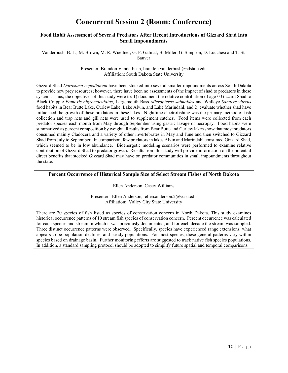# **Concurrent Session 2 (Room: Conference)**

### **Food Habit Assessment of Several Predators After Recent Introductions of Gizzard Shad Into Small Impoundments**

Vanderbush, B. L., M. Brown, M. R. Wuellner, G. F. Galinat, B. Miller, G. Simpson, D. Lucchesi and T. St. Sauver

> Presenter: Brandon Vanderbush, brandon.vanderbush@sdstate.edu Affiliation: South Dakota State University

Gizzard Shad *Dorosoma cepedianum* have been stocked into several smaller impoundments across South Dakota to provide new prey resources; however, there have been no assessments of the impact of shad to predators in these systems. Thus, the objectives of this study were to: 1) document the relative contribution of age-0 Gizzard Shad to Black Crappie *Pomoxis nigromaculatus*, Largemouth Bass *Micropterus salmoides* and Walleye *Sanders vitreus* food habits in Bear Butte Lake, Curlew Lake, Lake Alvin, and Lake Marindahl; and 2) evaluate whether shad have influenced the growth of these predators in these lakes. Nighttime electrofishing was the primary method of fish collection and trap nets and gill nets were used to supplement catches. Food items were collected from each predator species each month from May through September using gastric lavage or necropsy. Food habits were summarized as percent composition by weight. Results from Bear Butte and Curlew lakes show that most predators consumed mainly Cladocera and a variety of other invertebrates in May and June and then switched to Gizzard Shad from July to September. In comparison, few predators in lakes Alvin and Marindahl consumed Gizzard Shad, which seemed to be in low abundance. Bioenergetic modeling scenarios were performed to examine relative contribution of Gizzard Shad to predator growth. Results from this study will provide information on the potential direct benefits that stocked Gizzard Shad may have on predator communities in small impoundments throughout the state.

## **Percent Occurrence of Historical Sample Size of Select Stream Fishes of North Dakota**

#### Ellen Anderson, Casey Williams

Presenter: Ellen Anderson, ellen.anderson.2@vcsu.edu Affiliation: Valley City State University

There are 20 species of fish listed as species of conservation concern in North Dakota. This study examines historical occurrence patterns of 10 stream fish species of conservation concern. Percent occurrence was calculated for each species and stream in which it was previously documented, and for each decade the stream was sampled. Three distinct occurrence patterns were observed. Specifically, species have experienced range extensions, what appears to be population declines, and steady populations. For most species, these general patterns vary within species based on drainage basin. Further monitoring efforts are suggested to track native fish species populations. In addition, a standard sampling protocol should be adopted to simplify future spatial and temporal comparisons.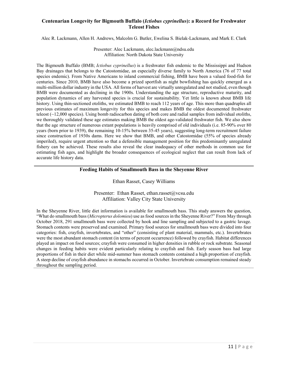# **Centenarian Longevity for Bigmouth Buffalo (***Ictiobus cyprinellus***): a Record for Freshwater Teleost Fishes**

Alec R. Lackmann, Allen H. Andrews, Malcolm G. Butler, Ewelina S. Bielak-Lackmann, and Mark E. Clark

Presenter: Alec Lackmann, alec.lackmann@ndsu.edu Affiliation: North Dakota State University

The Bigmouth Buffalo (BMB; *Ictiobus cyprinellus*) is a freshwater fish endemic to the Mississippi and Hudson Bay drainages that belongs to the Catostomidae, an especially diverse family to North America (76 of 77 total species endemic). From Native Americans to inland commercial fishing, BMB have been a valued food-fish for centuries. Since 2010, BMB have also become a prized sportfish as night bowfishing has quickly emerged as a multi-million dollar industry in the USA. All forms of harvest are virtually unregulated and not studied, even though BMB were documented as declining in the 1900s. Understanding the age structure, reproductive maturity, and population dynamics of any harvested species is crucial for sustainability. Yet little is known about BMB life history. Using thin-sectioned otoliths, we estimated BMB to reach 112 years of age. This more than quadruples all previous estimates of maximum longevity for this species and makes BMB the oldest documented freshwater teleost (~12,000 species). Using bomb radiocarbon dating of both core and radial samples from individual otoliths, we thoroughly validated these age estimates making BMB the oldest age-validated freshwater fish. We also show that the age structure of numerous extant populations is heavily comprised of old individuals (i.e. 85-90% over 80 years (born prior to 1939), the remaining 10-15% between 35-45 years), suggesting long-term recruitment failure since construction of 1930s dams. Here we show that BMB, and other Catostomidae (55% of species already imperiled), require urgent attention so that a defensible management position for this predominantly unregulated fishery can be achieved. These results also reveal the clear inadequacy of other methods in common use for estimating fish ages, and highlight the broader consequences of ecological neglect that can result from lack of accurate life history data.

# **Feeding Habits of Smallmouth Bass in the Sheyenne River**

Ethan Rasset, Casey Williams

Presenter: Ethan Rasset, ethan.rasset@vcsu.edu Affiliation: Valley City State University

In the Sheyenne River, little diet information is available for smallmouth bass. This study answers the question, "What do smallmouth bass (*Micropterus dolomieu*) use as food sources in the Sheyenne River?" From May through October 2018, 291 smallmouth bass were collected by hook and line sampling and subjected to a gastric lavage. Stomach contents were preserved and examined. Primary food sources for smallmouth bass were divided into four categories: fish, crayfish, invertebrates, and "other" (consisting of plant material, mammals, etc.). Invertebrates were the most abundant stomach content (in terms of percent occurrence) followed by crayfish. Habitat differences played an impact on food sources; crayfish were consumed in higher densities in rubble or rock substrate. Seasonal changes in feeding habits were evident particularly relating to crayfish and fish. Early season bass had large proportions of fish in their diet while mid-summer bass stomach contents contained a high proportion of crayfish. A steep decline of crayfish abundance in stomachs occurred in October. Invertebrate consumption remained steady throughout the sampling period.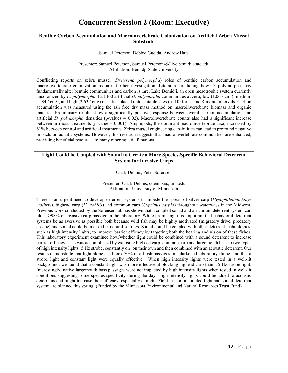# **Concurrent Session 2 (Room: Executive)**

### **Benthic Carbon Accumulation and Macroinvertebrate Colonization on Artificial Zebra Mussel Substrate**

#### Samuel Peterson, Debbie Guelda, Andrew Hafs

#### Presenter: Samuel Peterson, Samuel.Peterson4@live.bemidjistate.edu Affiliation: Bemidji State University

Conflicting reports on zebra mussel (*Dreissena polymorpha*) roles of benthic carbon accumulation and macroinvertebrate colonization requires further investigation. Literature predicting how D. polymorpha may fundamentally alter benthic communities and carbon is rare. Lake Bemidji, an open mesotrophic system currently uncolonized by *D. polymorpha*, had 160 artificial *D. polymorpha* communities at zero, low (1.06 / cm²), medium  $(1.84 \text{ cm}^2)$ , and high  $(2.63 \text{ cm}^2)$  densities placed onto suitable sites (n=10) for 4- and 8-month intervals. Carbon accumulation was measured using the ash free dry mass method on macroinvertebrate biomass and organic material. Preliminary results show a significantly positive response between overall carbon accumulation and artificial *D. polymorpha* densities (p-values = 0.02). Macroinvertebrate counts also had a significant increase between artificial treatments (p-value  $= 0.001$ ). Amphipods, the dominant macroinvertebrate taxa, increased by 61% between control and artificial treatments. Zebra mussel engineering capabilities can lead to profound negative impacts on aquatic systems. However, this research suggests that macroinvertebrate communities are enhanced, providing beneficial resources to many other aquatic functions.

## **Light Could be Coupled with Sound to Create a More Species-Specific Behavioral Deterrent System for Invasive Carps**

#### Clark Dennis; Peter Sorensen

Presenter: Clark Dennis, cdennisi@umn.edu Affiliation: University of Minnesota

There is an urgent need to develop deterrent systems to impede the spread of silver carp (*Hypophthalmichthys molitrix*), bighead carp (*H. nobilis*) and common carp (*Cyprinus carpio*) throughout waterways in the Midwest. Previous work conducted by the Sorensen lab has shown that a coupled sound and air curtain deterrent system can block >98% of invasive carp passage in the laboratory. While promising, it is important that behavioral deterrent systems be as aversive as possible both because wild fish may be highly motivated (migratory drive, predatory escape) and sound could be masked in natural settings. Sound could be coupled with other deterrent technologies, such as high intensity lights, to improve barrier efficacy by targeting both the hearing and vision of these fishes. This laboratory experiment examined how/whether light could be combined with a sound deterrent to increase barrier efficacy. This was accomplished by exposing bighead carp, common carp and largemouth bass to two types of high intensity lights (5 Hz strobe, constantly on) on their own and then combined with an acoustic deterrent. Our results demonstrate that light alone can block 70% of all fish passages in a darkened laboratory flume, and that a strobe light and constant light were equally effective. When high intensity lights were tested in a well-lit background, we found that a constant light was more effective at blocking bighead carp than a 5 Hz strobe light. Interestingly, native largemouth bass passages were not impacted by high intensity lights when tested in well-lit conditions suggesting some species-specificity during the day. High intensity lights could be added to acoustic deterrents and might increase their efficacy, especially at night. Field tests of a coupled light and sound deterrent system are planned this spring. (Funded by the Minnesota Environmental and Natural Resources Trust Fund)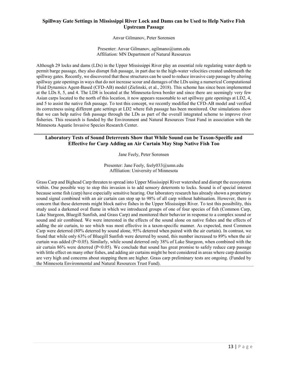# **Spillway Gate Settings in Mississippi River Lock and Dams can be Used to Help Native Fish Upstream Passage**

Anvar Gilmanov, Peter Sorensen

Presenter: Anvar Gilmanov, agilmano@umn.edu Affiliation: MN Department of Natural Resources

Although 29 locks and dams (LDs) in the Upper Mississippi River play an essential role regulating water depth to permit barge passage, they also disrupt fish passage, in part due to the high-water velocities created underneath the spillway gates. Recently, we discovered that these structures can be used to reduce invasive carp passage by altering spillway gate openings in ways that do not increase scour and damages of the LDs using a numerical Computational Fluid Dynamics Agent-Based (CFD-AB) model (Zielinski, et al., 2018). This scheme has since been implemented at the LDs 8, 5, and 4. The LD8 is located at the Minnesota-Iowa border and since there are seemingly very few Asian carps located to the north of this location, it now appears reasonable to set spillway gate openings at LD2, 4, and 5 to assist the native fish passage. To test this concept, we recently modified the CFD-AB model and verified its correctness using different gate settings at LD2 where fish passage has been monitored. Our simulations show that we can help native fish passage through the LDs as part of the overall integrated scheme to improve river fisheries. This research is funded by the Environment and Natural Resources Trust Fund in association with the Minnesota Aquatic Invasive Species Research Center.

# **Laboratory Tests of Sound Deterrents Show that While Sound can be Taxon-Specific and Effective for Carp Adding an Air Curtain May Stop Native Fish Too**

Jane Feely, Peter Sorensen

Presenter: Jane Feely, feely033@umn.edu Affiliation: University of Minnesota

Grass Carp and Bighead Carp threaten to spread into Upper Mississippi River watershed and disrupt the ecosystems within. One possible way to stop this invasion is to add sensory deterrents to locks. Sound is of special interest because some fish (carp) have especially sensitive hearing. Our laboratory research has already shown a proprietary sound signal combined with an air curtain can stop up to 98% of all carp without habituation. However, there is concern that these deterrents might block native fishes in the Upper Mississippi River. To test this possibility, this study used a darkened oval flume in which we introduced groups of one of four species of fish (Common Carp, Lake Sturgeon, Bluegill Sunfish, and Grass Carp) and monitored their behavior in response to a complex sound or sound and air combined. We were interested in the effects of the sound alone on native fishes and the effects of adding the air curtain, to see which was most effective in a taxon-specific manner. As expected, most Common Carp were deterred (80% deterred by sound alone, 95% deterred when paired with the air curtain). In contrast, we found that while only 63% of Bluegill Sunfish were deterred by sound, this number increased to 89% when the air curtain was added (P<0.05). Similarly, while sound deterred only 38% of Lake Sturgeon, when combined with the air curtain 86% were deterred ( $P<0.05$ ). We conclude that sound has great promise to safely reduce carp passage with little effect on many other fishes, and adding air curtains might be best considered in areas where carp densities are very high and concerns about stopping them are higher. Grass carp preliminary tests are ongoing. (Funded by the Minnesota Environmental and Natural Resources Trust Fund).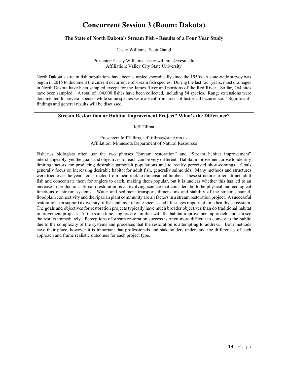# **Concurrent Session 3 (Room: Dakota)**

## **The State of North Dakota's Stream Fish - Results of a Four Year Study**

Casey Williams, Scott Gangl

Presenter: Casey Williams, casey.williams@vcsu.edu Affiliation: Valley City State University

North Dakota's stream fish populations have been sampled sporadically since the 1950s. A state-wide survey was begun in 2015 to document the current occurrence of stream fish species. During the last four years, most drainages in North Dakota have been sampled except for the James River and portions of the Red River. So far, 264 sites have been sampled. A total of 104,000 fishes have been collected, including 54 species. Range extensions were documented for several species while some species were absent from areas of historical occurrence. "Significant" findings and general results will be discussed.

## **Stream Restoration or Habitat Improvement Project? What's the Difference?**

#### Jeff Tillma

Presenter: Jeff Tillma, jeff.tillma@state.mn.us Affiliation: Minnesota Department of Natural Resources

Fisheries biologists often use the two phrases "Stream restoration" and "Stream habitat improvement" interchangeably, yet the goals and objectives for each can be very different. Habitat improvement arose to identify limiting factors for producing desirable gamefish populations and to rectify perceived short-comings. Goals generally focus on increasing desirable habitat for adult fish, generally salmonids. Many methods and structures were tried over the years, constructed from local rock to dimensional lumber. These structures often attract adult fish and concentrate them for anglers to catch, making them popular, but it is unclear whether this has led to an increase in production. Stream restoration is an evolving science that considers both the physical and ecological functions of stream systems. Water and sediment transport, dimensions and stability of the stream channel, floodplain connectivity and the riparian plant community are all factors in a stream restoration project. A successful restoration can support a diversity of fish and invertebrate species and life stages important for a healthy ecosystem. The goals and objectives for restoration projects typically have much broader objectives than do traditional habitat improvement projects. At the same time, anglers are familiar with the habitat improvement approach, and can see the results immediately. Perceptions of stream restoration success is often more difficult to convey to the public due to the complexity of the systems and processes that the restoration is attempting to address. Both methods have their place, however it is important that professionals and stakeholders understand the differences of each approach and frame realistic outcomes for each project type.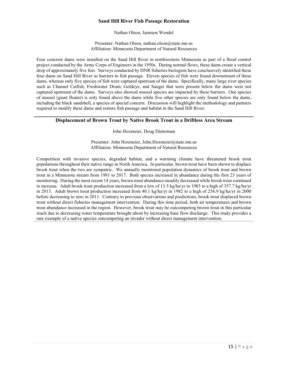# **Sand Hill River Fish Passage Restoration**

Nathan Olson, Jamison Wendel

Presenter: Nathan Olson, nathan.olson@state.mn.us Affiliation: Minnesota Department of Natural Resources

Four concrete dams were installed on the Sand Hill River in northwestern Minnesota as part of a flood control project conducted by the Army Corps of Engineers in the 1950s. During normal flows, these dams create a vertical drop of approximately five feet. Surveys conducted by DNR fisheries biologists have conclusively identified these four dams on Sand Hill River as barriers to fish passage. Eleven species of fish were found downstream of these dams, whereas only five species of fish were captured upstream of the dams. Specifically, many large river species such as Channel Catfish, Freshwater Drum, Goldeye, and Sauger that were present below the dams were not captured upstream of the dams. Surveys also showed mussel species are impacted by these barriers. One species of mussel (giant floater) is only found above the dams while five other species are only found below the dams, including the black sandshell, a species of special concern. Discussion will highlight the methodology and partners required to modify these dams and restore fish passage and habitat in the Sand Hill River.

### **Displacement of Brown Trout by Native Brook Trout in a Driftless Area Stream**

John Hoxmeier, Doug Dieterman

Presenter: John Hoxmeier, John.Hoxmeier@state.mn.us Affiliation: Minnesota Department of Natural Resources

Competition with invasive species, degraded habitat, and a warming climate have threatened brook trout populations throughout their native range in North America. In particular, brown trout have been shown to displace brook trout when the two are sympatric. We annually monitored population dynamics of brook trout and brown trout in a Minnesota stream from 1981 to 2017. Both species increased in abundance during the first 23 years of monitoring. During the most recent 14 years, brown trout abundance steadily decreased while brook trout continued to increase. Adult brook trout production increased from a low of 13.5 kg/ha/yr in 1983 to a high of 357.7 kg/ha/yr in 2013. Adult brown trout production increased from 40.1 kg/ha/yr in 1982 to a high of 256.9 kg/ha/yr in 2000 before decreasing to zero in 2011. Contrary to previous observations and predictions, brook trout displaced brown trout without direct fisheries management intervention. During this time period, both air temperatures and brown trout abundance increased in the region. However, brook trout may be outcompeting brown trout in this particular reach due to decreasing water temperature brought about by increasing base flow discharge. This study provides a rare example of a native species outcompeting an invader without direct management intervention.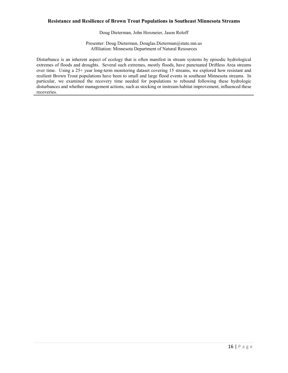## **Resistance and Resilience of Brown Trout Populations in Southeast Minnesota Streams**

Doug Dieterman, John Hoxmeier, Jason Roloff

Presenter: Doug Dieterman, Douglas.Dieterman@state.mn.us Affiliation: Minnesota Department of Natural Resources

Disturbance is an inherent aspect of ecology that is often manifest in stream systems by episodic hydrological extremes of floods and droughts. Several such extremes, mostly floods, have punctuated Driftless Area streams over time. Using a 25+ year long-term monitoring dataset covering 15 streams, we explored how resistant and resilient Brown Trout populations have been to small and large flood events in southeast Minnesota streams. In particular, we examined the recovery time needed for populations to rebound following these hydrologic disturbances and whether management actions, such as stocking or instream habitat improvement, influenced these recoveries.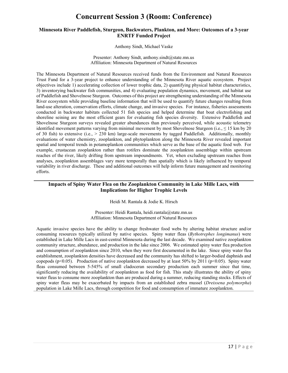# **Concurrent Session 3 (Room: Conference)**

## **Minnesota River Paddlefish, Sturgeon, Backwaters, Plankton, and More: Outcomes of a 3-year ENRTF Funded Project**

Anthony Sindt, Michael Vaske

Presenter: Anthony Sindt, anthony.sindt@state.mn.us Affiliation: Minnesota Department of Natural Resources

The Minnesota Department of Natural Resources received funds from the Environment and Natural Resources Trust Fund for a 3-year project to enhance understanding of the Minnesota River aquatic ecosystem. Project objectives include 1) accelerating collection of lower trophic data, 2) quantifying physical habitat characteristics, 3) inventorying backwater fish communities, and 4) evaluating population dynamics, movement, and habitat use of Paddlefish and Shovelnose Sturgeon. Outcomes of this project are strengthening understanding of the Minnesota River ecosystem while providing baseline information that will be used to quantify future changes resulting from land-use alteration, conservation efforts, climate change, and invasive species. For instance, fisheries assessments conducted in backwater habitats collected 51 fish species and helped determine that boat electrofishing and shoreline seining are the most efficient gears for evaluating fish species diversity. Extensive Paddlefish and Shovelnose Sturgeon surveys revealed greater abundances than previously perceived, while acoustic telemetry identified movement patterns varying from minimal movement by most Shovelnose Sturgeon (i.e.,  $\leq 15$  km by 20 of 30 fish) to extensive (i.e., > 230 km) large-scale movements by tagged Paddlefish. Additionally, monthly evaluations of water chemistry, zooplankton, and phytoplankton along the Minnesota River revealed important spatial and temporal trends in potamoplankon communities which serve as the base of the aquatic food web. For example, crustacean zooplankton rather than rotifers dominate the zooplankton assemblage within upstream reaches of the river, likely drifting from upstream impoundments. Yet, when excluding upstream reaches from analyses, zooplankton assemblages vary more temporally than spatially which is likely influenced by temporal variability in river discharge. These and additional outcomes will help inform future management and monitoring efforts.

# **Impacts of Spiny Water Flea on the Zooplankton Community in Lake Mille Lacs, with Implications for Higher Trophic Levels**

Heidi M. Rantala & Jodie K. Hirsch

Presenter: Heidi Rantala, heidi.rantala@state.mn.us Affiliation: Minnesota Department of Natural Resources

Aquatic invasive species have the ability to change freshwater food webs by altering habitat structure and/or consuming resources typically utilized by native species. Spiny water fleas (*Bythotrephes longimanus*) were established in Lake Mille Lacs in east-central Minnesota during the last decade. We examined native zooplankton community structure, abundance, and production in the lake since 2006. We estimated spiny water flea production and consumption of zooplankton since 2010, when they were first documented in the lake. Since spiny water flea establishment, zooplankton densities have decreased and the community has shifted to larger-bodied daphnids and copepods ( $p<0.05$ ). Production of native zooplankton decreased by at least 50% by 2011 ( $p<0.05$ ). Spiny water fleas consumed between 5-545% of small cladoceran secondary production each summer since that time, significantly reducing the availability of zooplankton as food for fish. This study illustrates the ability of spiny water fleas to consume more zooplankton than are produced during a summer, reducing standing stocks. Effects of spiny water fleas may be exacerbated by impacts from an established zebra mussel (*Dreissena polymorpha*) population in Lake Mille Lacs, through competition for food and consumption of immature zooplankton.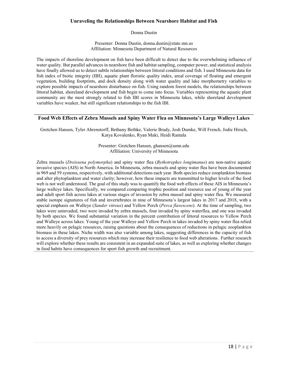# **Unraveling the Relationships Between Nearshore Habitat and Fish**

Donna Dustin

Presenter: Donna Dustin, donna.dustin@state.mn.us Affiliation: Minnesota Department of Natural Resources

The impacts of shoreline development on fish have been difficult to detect due to the overwhelming influence of water quality. But parallel advances in nearshore fish and habitat sampling, computer power, and statistical analysis have finally allowed us to detect subtle relationships between littoral conditions and fish. I used Minnesota data for fish index of biotic integrity (IBI), aquatic plant floristic quality index, areal coverage of floating and emergent vegetation, building footprints, and dock density along with water quality and lake morphometry variables to explore possible impacts of nearshore disturbance on fish. Using random forest models, the relationships between littoral habitat, shoreland development and fish begin to come into focus. Variables representing the aquatic plant community are the most strongly related to fish IBI scores in Minnesota lakes, while shoreland development variables have weaker, but still significant relationships to the fish IBI.

# **Food Web Effects of Zebra Mussels and Spiny Water Flea on Minnesota's Large Walleye Lakes**

Gretchen Hansen, Tyler Ahrenstorff, Bethany Bethke, Valerie Brady, Josh Dumke, Will French, Jodie Hirsch, Katya Kovalenko, Ryan Maki, Heidi Rantala

> Presenter: Gretchen Hansen, ghansen@umn.edu Affiliation: University of Minnesota

Zebra mussels (*Dreissena polymorpha*) and spiny water flea (*Bythotrephes longimanus*) are non-native aquatic invasive species (AIS) in North America. In Minnesota, zebra mussels and spiny water flea have been documented in 969 and 59 systems, respectively, with additional detections each year. Both species reduce zooplankton biomass and alter phytoplankton and water clarity; however, how these impacts are transmitted to higher levels of the food web is not well understood. The goal of this study was to quantify the food web effects of these AIS in Minnesota's large walleye lakes. Specifically, we compared comparing trophic position and resource use of young of the year and adult sport fish across lakes at various stages of invasion by zebra mussel and spiny water flea. We measured stable isotope signatures of fish and invertebrates in nine of Minnesota's largest lakes in 2017 and 2018, with a special emphasis on Walleye (*Sander vitreus*) and Yellow Perch (*Perca flavescens*). At the time of sampling, two lakes were uninvaded, two were invaded by zebra mussels, four invaded by spiny waterflea, and one was invaded by both species. We found substantial variation in the percent contribution of littoral resources to Yellow Perch and Walleye across lakes. Young of the year Walleye and Yellow Perch in lakes invaded by spiny water flea relied more heavily on pelagic resources, raising questions about the consequences of reductions in pelagic zooplankton biomass in these lakes. Niche width was also variable among lakes, suggesting differences in the capacity of fish to access a diversity of prey resources which may increase their resilience to food web alterations. Further research will explore whether these results are consistent in an expanded suite of lakes, as well as exploring whether changes in food habits have consequences for sport fish growth and recruitment.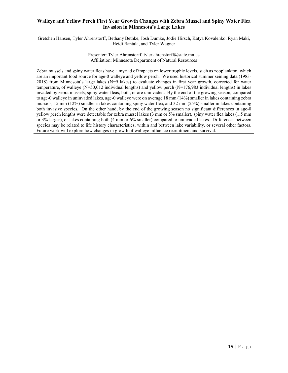# **Walleye and Yellow Perch First Year Growth Changes with Zebra Mussel and Spiny Water Flea Invasion in Minnesota's Large Lakes**

Gretchen Hansen, Tyler Ahrenstorff, Bethany Bethke, Josh Dumke, Jodie Hirsch, Katya Kovalenko, Ryan Maki, Heidi Rantala, and Tyler Wagner

#### Presenter: Tyler Ahrenstorff, tyler.ahrenstorff@state.mn.us Affiliation: Minnesota Department of Natural Resources

Zebra mussels and spiny water fleas have a myriad of impacts on lower trophic levels, such as zooplankton, which are an important food source for age-0 walleye and yellow perch. We used historical summer seining data (1983- 2018) from Minnesota's large lakes (N=9 lakes) to evaluate changes in first year growth, corrected for water temperature, of walleye (N=50,012 individual lengths) and yellow perch (N=176,983 individual lengths) in lakes invaded by zebra mussels, spiny water fleas, both, or are uninvaded. By the end of the growing season, compared to age-0 walleye in uninvaded lakes, age-0 walleye were on average 18 mm (14%) smaller in lakes containing zebra mussels, 15 mm (12%) smaller in lakes containing spiny water flea, and 32 mm (25%) smaller in lakes containing both invasive species. On the other hand, by the end of the growing season no significant differences in age-0 yellow perch lengths were detectable for zebra mussel lakes (3 mm or 5% smaller), spiny water flea lakes (1.5 mm or 3% larger), or lakes containing both (4 mm or 6% smaller) compared to uninvaded lakes. Differences between species may be related to life history characteristics, within and between lake variability, or several other factors. Future work will explore how changes in growth of walleye influence recruitment and survival.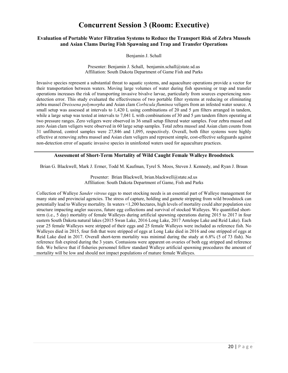# **Concurrent Session 3 (Room: Executive)**

## **Evaluation of Portable Water Filtration Systems to Reduce the Transport Risk of Zebra Mussels and Asian Clams During Fish Spawning and Trap and Transfer Operations**

Benjamin J. Schall

Presenter: Benjamin J. Schall, benjamin.schall@state.sd.us Affiliation: South Dakota Department of Game Fish and Parks

Invasive species represent a substantial threat to aquatic systems, and aquaculture operations provide a vector for their transportation between waters. Moving large volumes of water during fish spawning or trap and transfer operations increases the risk of transporting invasive bivalve larvae, particularly from sources experiencing nondetection error. This study evaluated the effectiveness of two portable filter systems at reducing or eliminating zebra mussel *Dreissena polymorpha* and Asian clam *Corbicula fluminea* veligers from an infested water source. A small setup was assessed at intervals to 1,420 L using combinations of 20 and 5 μm filters arranged in tandem, while a large setup was tested at intervals to 7,041 L with combinations of 30 and 5 μm tandem filters operating at two pressure ranges. Zero veligers were observed in 36 small setup filtered water samples. Four zebra mussel and zero Asian clam veligers were observed in 60 large setup samples. Total zebra mussel and Asian clam counts from 31 unfiltered, control samples were 27,846 and 1,095, respectively. Overall, both filter systems were highly effective at removing zebra mussel and Asian clam veligers and represent simple, cost-effective safeguards against non-detection error of aquatic invasive species in uninfested waters used for aquaculture practices.

## **Assessment of Short-Term Mortality of Wild Caught Female Walleye Broodstock**

Brian G. Blackwell, Mark J. Ermer, Todd M. Kaufman, Tyrel S. Moos, Steven J. Kennedy, and Ryan J. Braun

Presenter: Brian Blackwell, brian.blackwell@state.sd.us Affiliation: South Dakota Department of Game, Fish and Parks

Collection of Walleye *Sander vitreus* eggs to meet stocking needs is an essential part of Walleye management for many state and provincial agencies. The stress of capture, holding and gamete stripping from wild broodstock can potentially lead to Walleye mortality. In waters <1,200 hectares, high levels of mortality could alter population size structure impacting angler success, future egg collections and survival of stocked Walleyes. We quantified shortterm (i.e., 5 day) mortality of female Walleyes during artificial spawning operations during 2015 to 2017 in four eastern South Dakota natural lakes (2015 Swan Lake, 2016 Long Lake, 2017 Antelope Lake and Reid Lake). Each year 25 female Walleyes were stripped of their eggs and 25 female Walleyes were included as reference fish. No Walleyes died in 2015, four fish that were stripped of eggs at Long Lake died in 2016 and one stripped of eggs at Reid Lake died in 2017. Overall short-term mortality was minimal during the study at 6.8% (5 of 73 fish). No reference fish expired during the 3 years. Contusions were apparent on ovaries of both egg stripped and reference fish. We believe that if fisheries personnel follow standard Walleye artificial spawning procedures the amount of mortality will be low and should not impact populations of mature female Walleyes.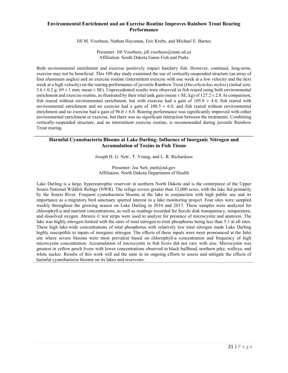# **Environmental Enrichment and an Exercise Routine Improves Rainbow Trout Rearing Performance**

Jill M. Voorhees, Nathan Huysman, Eric Krebs, and Michael E. Barnes

Presenter: Jill Voorhees, jill.voorhees@state.sd.us Affiliation: South Dakota Game Fish and Parks

Both environmental enrichment and exercise positively impact hatchery fish. However, continual, long-term, exercise may not be beneficial. This 109-day study examined the use of vertically-suspended structure (an array of four aluminum angles) and an exercise routine (intermittent exercise with one week at a low velocity and the next week at a high velocity) on the rearing performance of juvenile Rainbow Trout (*Oncorhynchus mykiss*) (initial size;  $3.6 \pm 0.2$  g;  $69 \pm 1$  mm; mean  $\pm$  SE). Unprecedented results were observed in fish reared using both environmental enrichment and exercise routine, as illustrated by their total tank gain (mean  $\pm$  SE; kg) of 127.2  $\pm$  2.8. In comparison, fish reared without environmental enrichment, but with exercise had a gain of  $105.0 \pm 4.4$ , fish reared with environmental enrichment and no exercise had a gain of  $100.5 \pm 6.0$ , and fish reared without environmental enrichment and no exercise had a gain of  $96.0 \pm 6.0$ . Rearing performance was significantly improved with either environmental enrichment or exercise, but there was no significant interaction between the treatments. Combining vertically-suspended structure, and an intermittent exercise routine, is recommended during juvenile Rainbow Trout rearing.

## **Harmful Cyanobacteria Blooms at Lake Darling: Influence of Inorganic Nitrogen and Accumulation of Toxins in Fish Tissue**

Joseph H. G. Nett , T. Young, and L. R. Richardson

Presenter: Joe Nett, jnett@nd.gov Affiliation: North Dakota Department of Health

Lake Darling is a large, hypereutrophic reservoir in northern North Dakota and is the centerpiece of the Upper Souris National Wildlife Refuge (NWR). The refuge covers greater than 32,000 acres, with the lake fed primarily by the Souris River. Frequent cyanobacteria blooms at the lake in conjunction with high public use and its importance as a migratory bird sanctuary spurred interest in a lake monitoring project. Four sites were sampled weekly throughout the growing season on Lake Darling in 2016 and 2017. These samples were analyzed for chlorophyll-a and nutrient concentrations, as well as readings recorded for Secchi disk transparency, temperature, and dissolved oxygen. Abraxis © test strips were used to analyze for presence of microcystin and anatoxin. The lake was highly nitrogen-limited with the ratio of total nitrogen to total phosphorus being less than 5:1 at all sites. These high lake-wide concentrations of total phosphorus with relatively low total nitrogen made Lake Darling highly susceptible to inputs of inorganic nitrogen. The effects of these inputs were most pronounced at the Inlet site where severe blooms were most prevalent based on chlorophyll-a concentration and frequency of high microcystin concentration. Accumulation of microcystin in fish livers did not vary with size. Microcystin was greatest in yellow perch livers with lower concentrations observed in black bullhead, northern pike, walleye, and white sucker. Results of this work will aid the state in its ongoing efforts to assess and mitigate the effects of harmful cyanobacteria blooms on its lakes and reservoirs.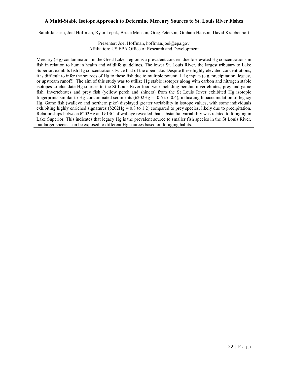## **A Multi-Stable Isotope Approach to Determine Mercury Sources to St. Louis River Fishes**

Sarah Janssen, Joel Hoffman, Ryan Lepak, Bruce Monson, Greg Peterson, Graham Hanson, David Krabbenhoft

Presenter: Joel Hoffman, hoffman.joel@epa.gov Affiliation: US EPA Office of Research and Development

Mercury (Hg) contamination in the Great Lakes region is a prevalent concern due to elevated Hg concentrations in fish in relation to human health and wildlife guidelines. The lower St. Louis River, the largest tributary to Lake Superior, exhibits fish Hg concentrations twice that of the open lake. Despite these highly elevated concentrations, it is difficult to infer the sources of Hg to these fish due to multiple potential Hg inputs (e.g. precipitation, legacy, or upstream runoff). The aim of this study was to utilize Hg stable isotopes along with carbon and nitrogen stable isotopes to elucidate Hg sources to the St Louis River food web including benthic invertebrates, prey and game fish. Invertebrates and prey fish (yellow perch and shiners) from the St Louis River exhibited Hg isotopic fingerprints similar to Hg-contaminated sediments ( $\delta$ 202Hg = -0.6 to -0.4), indicating bioaccumulation of legacy Hg. Game fish (walleye and northern pike) displayed greater variability in isotope values, with some individuals exhibiting highly enriched signatures ( $\delta$ 202Hg = 0.8 to 1.2) compared to prey species, likely due to precipitation. Relationships between δ202Hg and δ13C of walleye revealed that substantial variability was related to foraging in Lake Superior. This indicates that legacy Hg is the prevalent source to smaller fish species in the St Louis River, but larger species can be exposed to different Hg sources based on foraging habits.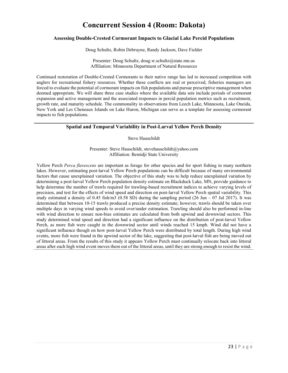# **Concurrent Session 4 (Room: Dakota)**

## **Assessing Double-Crested Cormorant Impacts to Glacial Lake Percid Populations**

Doug Schultz, Robin Debruyne, Randy Jackson, Dave Fielder

Presenter: Doug Schultz, doug.w.schultz@state.mn.us Affiliation: Minnesota Department of Natural Resources

Continued restoration of Double-Crested Cormorants to their native range has led to increased competition with anglers for recreational fishery resources. Whether these conflicts are real or perceived, fisheries managers are forced to evaluate the potential of cormorant impacts on fish populations and pursue prescriptive management when deemed appropriate. We will share three case studies where the available data sets include periods of cormorant expansion and active management and the associated responses in percid population metrics such as recruitment, growth rate, and maturity schedule. The commonality in observations from Leech Lake, Minnesota, Lake Oneida, New York and Les Cheneaux Islands on Lake Huron, Michigan can serve as a template for assessing cormorant impacts to fish populations.

# **Spatial and Temporal Variability in Post-Larval Yellow Perch Density**

Steve Hauschildt

Presenter: Steve Hauschildt, stevehauschildt@yahoo.com Affiliation: Bemidji State University

Yellow Perch *Perca flavescens* are important as forage for other species and for sport fishing in many northern lakes. However, estimating post-larval Yellow Perch populations can be difficult because of many environmental factors that cause unexplained variation. The objective of this study was to help reduce unexplained variation by determining a post-larval Yellow Perch population density estimate on Blackduck Lake, MN, provide guidance to help determine the number of trawls required for trawling-based recruitment indices to achieve varying levels of precision, and test for the effects of wind speed and direction on post-larval Yellow Perch spatial variability. This study estimated a density of 0.45 fish/m3 (0.58 SD) during the sampling period (26 Jun – 07 Jul 2017). It was determined that between 10-15 trawls produced a precise density estimate; however, trawls should be taken over multiple days in varying wind speeds to avoid over/under estimation. Trawling should also be performed in-line with wind direction to ensure non-bias estimates are calculated from both upwind and downwind sectors. This study determined wind speed and direction had a significant influence on the distribution of post-larval Yellow Perch, as more fish were caught in the downwind sector until winds reached 15 kmph. Wind did not have a significant influence though on how post-larval Yellow Perch were distributed by total length. During high wind events, more fish were found in the upwind sector of the lake, suggesting that post-larval fish are being moved out of littoral areas. From the results of this study it appears Yellow Perch must continually relocate back into littoral areas after each high wind event moves them out of the littoral areas, until they are strong enough to resist the wind.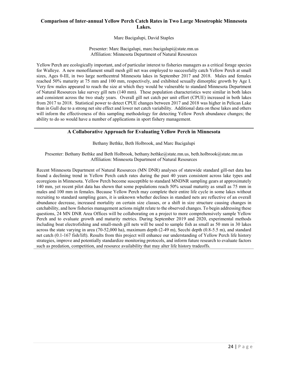# **Comparison of Inter-annual Yellow Perch Catch Rates in Two Large Mesotrophic Minnesota Lakes.**

Marc Bacigalupi, David Staples

Presenter: Marc Bacigalupi, marc.bacigalupi@state.mn.us Affiliation: Minnesota Department of Natural Resources

Yellow Perch are ecologically important, and of particular interest to fisheries managers as a critical forage species for Walleye. A new monofilament small mesh gill net was employed to successfully catch Yellow Perch at small sizes, Ages 0-III, in two large northcentral Minnesota lakes in September 2017 and 2018. Males and females reached 50% maturity at 75 mm and 100 mm, respectively, and exhibited sexually dimorphic growth by Age I. Very few males appeared to reach the size at which they would be vulnerable to standard Minnesota Department of Natural Resources lake survey gill nets (140 mm). These population characteristics were similar in both lakes and consistent across the two study years. Overall gill net catch per unit effort (CPUE) increased in both lakes from 2017 to 2018. Statistical power to detect CPUE changes between 2017 and 2018 was higher in Pelican Lake than in Gull due to a strong net site effect and lower net catch variability. Additional data on these lakes and others will inform the effectiveness of this sampling methodology for detecting Yellow Perch abundance changes; the ability to do so would have a number of applications in sport fishery management.

## **A Collaborative Approach for Evaluating Yellow Perch in Minnesota**

Bethany Bethke, Beth Holbrook, and Marc Bacigalupi

Presenter: Bethany Bethke and Beth Holbrook, [bethany.bethke@state.mn.us,](mailto:bethany.bethke@state.mn.us) beth.holbrook@state.mn.us Affiliation: Minnesota Department of Natural Resources

Recent Minnesota Department of Natural Resources (MN DNR) analyses of statewide standard gill-net data has found a declining trend in Yellow Perch catch rates during the past 40 years consistent across lake types and ecoregions in Minnesota. Yellow Perch become susceptible to standard MNDNR sampling gears at approximately 140 mm, yet recent pilot data has shown that some populations reach 50% sexual maturity as small as 75 mm in males and 100 mm in females. Because Yellow Perch may complete their entire life cycle in some lakes without recruiting to standard sampling gears, it is unknown whether declines in standard nets are reflective of an overall abundance decrease, increased mortality on certain size classes, or a shift in size structure causing changes in catchability, and how fisheries management actions might relate to the observed changes. To begin addressing these questions, 24 MN DNR Area Offices will be collaborating on a project to more comprehensively sample Yellow Perch and to evaluate growth and maturity metrics. During September 2019 and 2020, experimental methods including boat electrofishing and small-mesh gill nets will be used to sample fish as small as 50 mm in 30 lakes across the state varying in area (70-52,000 ha), maximum depth (2-49 m), Secchi depth (0.8-5.5 m), and standard net catch (0.1-167 fish/lift). Results from this project will enhance our understanding of Yellow Perch life history strategies, improve and potentially standardize monitoring protocols, and inform future research to evaluate factors such as predation, competition, and resource availability that may alter life history tradeoffs.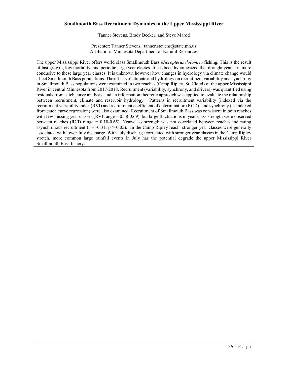#### **Smallmouth Bass Recruitment Dynamics in the Upper Mississippi River**

Tanner Stevens, Brady Becker, and Steve Marod

Presenter: Tanner Stevens, tanner.stevens@state.mn.us Affiliation: Minnesota Department of Natural Resources

The upper Mississippi River offers world class Smallmouth Bass *Micropterus dolomieu* fishing. This is the result of fast growth, low mortality, and periodic large year classes. It has been hypothesized that drought years are more conducive to these large year classes. It is unknown however how changes in hydrology via climate change would affect Smallmouth Bass populations. The effects of climate and hydrology on recruitment variability and synchrony in Smallmouth Bass populations were examined in two reaches (Camp Ripley, St. Cloud) of the upper Mississippi River in central Minnesota from 2017-2018. Recruitment (variability, synchrony, and drivers) was quantified using residuals from catch curve analysis, and an information theoretic approach was applied to evaluate the relationship between recruitment, climate and reservoir hydrology. Patterns in recruitment variability [indexed via the recruitment variability index (RVI) and recruitment coefficient of determination (RCD)] and synchrony (as indexed from catch curve regression) were also examined. Recruitment of Smallmouth Bass was consistent in both reaches with few missing year classes (RVI range = 0.58-0.69), but large fluctuations in year-class strength were observed between reaches (RCD range = 0.18-0.65). Year-class strength was not correlated between reaches indicating asynchronous recruitment ( $r = -0.31$ ;  $p > 0.05$ ). In the Camp Ripley reach, stronger year classes were generally associated with lower July discharge. With July discharge correlated with stronger year classes in the Camp Ripley stretch, more common large rainfall events in July has the potential degrade the upper Mississippi River Smallmouth Bass fishery.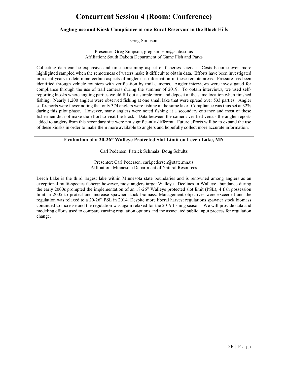# **Concurrent Session 4 (Room: Conference)**

### **Angling use and Kiosk Compliance at one Rural Reservoir in the Black** Hills

Greg Simpson

Presenter: Greg Simpson, greg.simpson@state.sd.us Affiliation: South Dakota Department of Game Fish and Parks

Collecting data can be expensive and time consuming aspect of fisheries science. Costs become even more highlighted sampled when the remoteness of waters make it difficult to obtain data. Efforts have been investigated in recent years to determine certain aspects of angler use information in these remote areas. Pressure has been identified through vehicle counters with verification by trail cameras. Angler interviews were investigated for compliance through the use of trail cameras during the summer of 2019. To obtain interviews, we used selfreporting kiosks where angling parties would fill out a simple form and deposit at the same location when finished fishing. Nearly 1,200 anglers were observed fishing at one small lake that were spread over 533 parties. Angler self-reports were fewer noting that only 374 anglers were fishing at the same lake. Compliance was thus set at 32% during this pilot phase. However, many anglers were noted fishing at a secondary entrance and most of these fishermen did not make the effort to visit the kiosk. Data between the camera-verified versus the angler reports added to anglers from this secondary site were not significantly different. Future efforts will be to expand the use of these kiosks in order to make them more available to anglers and hopefully collect more accurate information.

# **Evaluation of a 20-26" Walleye Protected Slot Limit on Leech Lake, MN**

Carl Pedersen, Patrick Schmalz, Doug Schultz

Presenter: Carl Pedersen, carl.pedersen@state.mn.us Affiliation: Minnesota Department of Natural Resources

Leech Lake is the third largest lake within Minnesota state boundaries and is renowned among anglers as an exceptional multi-species fishery; however, most anglers target Walleye. Declines in Walleye abundance during the early 2000s prompted the implementation of an 18-26" Walleye protected slot limit (PSL), 4 fish possession limit in 2005 to protect and increase spawner stock biomass. Management objectives were exceeded and the regulation was relaxed to a 20-26" PSL in 2014. Despite more liberal harvest regulations spawner stock biomass continued to increase and the regulation was again relaxed for the 2019 fishing season. We will provide data and modeling efforts used to compare varying regulation options and the associated public input process for regulation change.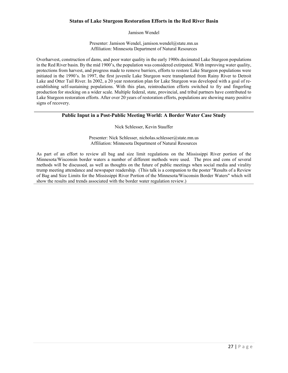# **Status of Lake Sturgeon Restoration Efforts in the Red River Basin**

Jamison Wendel

Presenter: Jamison Wendel, jamison.wendel@state.mn.us Affiliation: Minnesota Department of Natural Resources

Overharvest, construction of dams, and poor water quality in the early 1900s decimated Lake Sturgeon populations in the Red River basin. By the mid 1900's, the population was considered extirpated. With improving water quality, protections from harvest, and progress made to remove barriers, efforts to restore Lake Sturgeon populations were initiated in the 1990's. In 1997, the first juvenile Lake Sturgeon were transplanted from Rainy River to Detroit Lake and Otter Tail River. In 2002, a 20 year restoration plan for Lake Sturgeon was developed with a goal of reestablishing self-sustaining populations. With this plan, reintroduction efforts switched to fry and fingerling production for stocking on a wider scale. Multiple federal, state, provincial, and tribal partners have contributed to Lake Sturgeon restoration efforts. After over 20 years of restoration efforts, populations are showing many positive signs of recovery.

## **Public Input in a Post-Public Meeting World: A Border Water Case Study**

#### Nick Schlesser, Kevin Stauffer

Presenter: Nick Schlesser, nicholas.schlesser@state.mn.us Affiliation: Minnesota Department of Natural Resources

As part of an effort to review all bag and size limit regulations on the Mississippi River portion of the Minnesota/Wisconsin border waters a number of different methods were used. The pros and cons of several methods will be discussed, as well as thoughts on the future of public meetings when social media and virality trump meeting attendance and newspaper readership. (This talk is a companion to the poster "Results of a Review of Bag and Size Limits for the Mississippi River Portion of the Minnesota/Wisconsin Border Waters" which will show the results and trends associated with the border water regulation review.)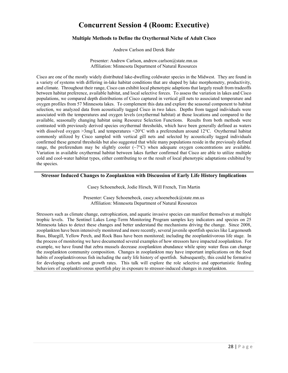# **Concurrent Session 4 (Room: Executive)**

# **Multiple Methods to Define the Oxythermal Niche of Adult Cisco**

Andrew Carlson and Derek Bahr

Presenter: Andrew Carlson, andrew.carlson@state.mn.us Affiliation: Minnesota Department of Natural Resources

Cisco are one of the mostly widely distributed lake-dwelling coldwater species in the Midwest. They are found in a variety of systems with differing in-lake habitat conditions that are shaped by lake morphometry, productivity, and climate. Throughout their range, Cisco can exhibit local phenotypic adaptions that largely result from tradeoffs between habitat preference, available habitat, and local selective forces. To assess the variation in lakes and Cisco populations, we compared depth distributions of Cisco captured in vertical gill nets to associated temperature and oxygen profiles from 57 Minnesota lakes. To complement this data and explore the seasonal component to habitat selection, we analyzed data from acoustically tagged Cisco in two lakes. Depths from tagged individuals were associated with the temperatures and oxygen levels (oxythermal habitat) at those locations and compared to the available, seasonally changing habitat using Resource Selection Functions. Results from both methods were contrasted with previously derived species oxythermal thresholds, which have been generally defined as waters with dissolved oxygen >3mg/L and temperatures <20°C with a preferendum around 12°C. Oxythermal habitat commonly utilized by Cisco sampled with vertical gill nets and selected by acoustically tagged individuals confirmed these general thresholds but also suggested that while many populations reside in the previously defined range, the preferendum may be slightly cooler  $(\sim 7^{\circ}C)$  when adequate oxygen concentrations are available. Variation in available oxythermal habitat between lakes further confirmed that Cisco are able to utilize multiple cold and cool-water habitat types, either contributing to or the result of local phenotypic adaptations exhibited by the species.

## **Stressor Induced Changes to Zooplankton with Discussion of Early Life History Implications**

Casey Schoenebeck, Jodie Hirsch, Will French, Tim Martin

Presenter: Casey Schoenebeck, casey.schoenebeck@state.mn.us Affiliation: Minnesota Department of Natural Resources

Stressors such as climate change, eutrophication, and aquatic invasive species can manifest themselves at multiple trophic levels. The Sentinel Lakes Long-Term Monitoring Program samples key indicators and species on 25 Minnesota lakes to detect these changes and better understand the mechanisms driving the change. Since 2008, zooplankton have been intensively monitored and more recently, several juvenile sportfish species like Largemouth Bass, Bluegill, Yellow Perch, and Rock Bass have been monitored; including the zooplanktivorous life stage. In the process of monitoring we have documented several examples of how stressors have impacted zooplankton. For example, we have found that zebra mussels decrease zooplankton abundance while spiny water fleas can change the zooplankton community composition. Changes in zooplankton may have important implications on the food habits of zooplanktivorous fish including the early life history of sportfish. Subsequently, this could be formative for developing cohorts and growth rates. This talk will explore the role selective and opportunistic feeding behaviors of zooplanktivorous sportfish play in exposure to stressor-induced changes in zooplankton.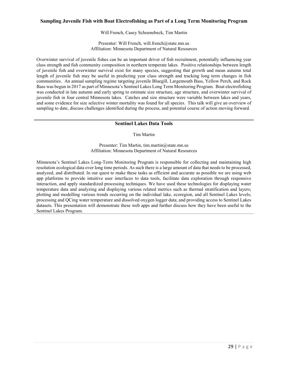## **Sampling Juvenile Fish with Boat Electrofishing as Part of a Long Term Monitoring Program**

Will French, Casey Schoenebeck, Tim Martin

Presenter: Will French, will.french@state.mn.us Affiliation: Minnesota Department of Natural Resources

Overwinter survival of juvenile fishes can be an important driver of fish recruitment, potentially influencing year class strength and fish community composition in northern temperate lakes. Positive relationships between length of juvenile fish and overwinter survival exist for many species, suggesting that growth and mean autumn total length of juvenile fish may be useful in predicting year class strength and tracking long term changes in fish communities. An annual sampling regime targeting juvenile Bluegill, Largemouth Bass, Yellow Perch, and Rock Bass was begun in 2017 as part of Minnesota's Sentinel Lakes Long Term Monitoring Program. Boat electrofishing was conducted in late autumn and early spring to estimate size structure, age structure, and overwinter survival of juvenile fish in four central Minnesota lakes. Catches and size structure were variable between lakes and years, and some evidence for size selective winter mortality was found for all species. This talk will give an overview of sampling to date, discuss challenges identified during the process, and potential course of action moving forward.

#### **Sentinel Lakes Data Tools**

Tim Martin

Presenter: Tim Martin, tim.martin@state.mn.us Affiliation: Minnesota Department of Natural Resources

Minnesota's Sentinel Lakes Long-Term Monitoring Program is responsible for collecting and maintaining high resolution ecological data over long time periods. As such there is a large amount of data that needs to be processed, analyzed, and distributed. In our quest to make these tasks as efficient and accurate as possible we are using web app platforms to provide intuitive user interfaces to data tools, facilitate data exploration through responsive interaction, and apply standardized processing techniques. We have used these technologies for displaying water temperature data and analyzing and displaying various related metrics such as thermal stratification and layers; plotting and modelling various trends occurring on the individual lake, ecoregion, and all Sentinel Lakes levels; processing and QCing water temperature and dissolved oxygen logger data; and providing access to Sentinel Lakes datasets. This presentation will demonstrate these web apps and further discuss how they have been useful to the Sentinel Lakes Program.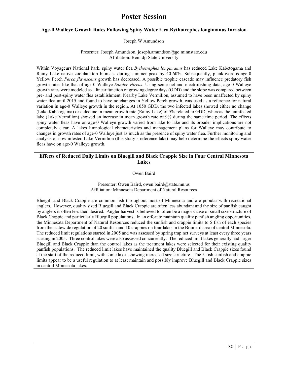# **Poster Session**

## **Age-0 Walleye Growth Rates Following Spiny Water Flea Bythotrephes longimanus Invasion**

#### Joseph W Amundson

#### Presenter: Joseph Amundson, joseph.amundson@go.minnstate.edu Affiliation: Bemidji State University

Within Voyageurs National Park, spiny water flea *Bythotrephes longimanus* has reduced Lake Kabetogama and Rainy Lake native zooplankton biomass during summer peak by 40-60%. Subsequently, planktivorous age-0 Yellow Perch *Perca flavescens* growth has decreased. A possible trophic cascade may influence predatory fish growth rates like that of age-0 Walleye *Sander vitreus*. Using seine net and electrofishing data, age-0 Walleye growth rates were modeled as a linear function of growing degree days (GDD) and the slope was compared between pre- and post-spiny water flea establishment. Nearby Lake Vermilion, assumed to have been unaffected by spiny water flea until 2015 and found to have no changes in Yellow Perch growth, was used as a reference for natural variation in age-0 Walleye growth in the region. At 1050 GDD, the two infected lakes showed either no change (Lake Kabetogama) or a decline in mean growth rate (Rainy Lake) of 5% related to GDD, whereas the uninfected lake (Lake Vermilion) showed an increase in mean growth rate of 9% during the same time period. The effects spiny water fleas have on age-0 Walleye growth varied from lake to lake and its broader implications are not completely clear. A lakes limnological characteristics and management plans for Walleye may contribute to changes in growth rates of age-0 Walleye just as much as the presence of spiny water flea. Further monitoring and analysis of now infested Lake Vermilion (this study's reference lake) may help determine the effects spiny water fleas have on age-0 Walleye growth.

# **Effects of Reduced Daily Limits on Bluegill and Black Crappie Size in Four Central Minnesota Lakes**

Owen Baird

### Presenter: Owen Baird, owen.baird@state.mn.us Affiliation: Minnesota Department of Natural Resources

Bluegill and Black Crappie are common fish throughout most of Minnesota and are popular with recreational anglers. However, quality sized Bluegill and Black Crappie are often less abundant and the size of panfish caught by anglers is often less then desired. Angler harvest is believed to often be a major cause of small size structure of Black Crappie and particularly Bluegill populations. In an effort to maintain quality panfish angling opportunities, the Minnesota Department of Natural Resources reduced the sunfish and crappie limits to 5 fish of each species from the statewide regulation of 20 sunfish and 10 crappies on four lakes in the Brainerd area of central Minnesota. The reduced limit regulations started in 2005 and was assessed by spring trap net surveys at least every three years starting in 2005. Three control lakes were also assessed concurrently. The reduced limit lakes generally had larger Bluegill and Black Crappie than the control lakes as the treatment lakes were selected for their existing quality panfish populations. The reduced limit lakes have maintained the quality Bluegill and Black Crappie sizes found at the start of the reduced limit, with some lakes showing increased size structure. The 5-fish sunfish and crappie limits appear to be a useful regulation to at least maintain and possibly improve Bluegill and Black Crappie sizes in central Minnesota lakes.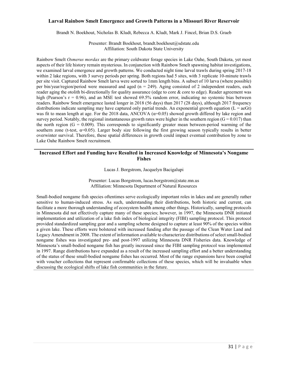## **Larval Rainbow Smelt Emergence and Growth Patterns in a Missouri River Reservoir**

Brandt N. Boekhout, Nicholas B. Kludt, Rebecca A. Kludt, Mark J. Fincel, Brian D.S. Graeb

Presenter: Brandt Boekhout, brandt.boekhout@sdstate.edu Affiliation: South Dakota State University

Rainbow Smelt *Osmerus mordax* are the primary coldwater forage species in Lake Oahe, South Dakota, yet most aspects of their life history remain mysterious. In conjunction with Rainbow Smelt spawning habitat investigations, we examined larval emergence and growth patterns. We conducted night time larval trawls during spring 2017-18 within 2 lake regions, with 3 survey periods per spring. Both regions had 5 sites, with 3 replicate 10-minute trawls per site visit. Captured Rainbow Smelt larva were sorted to 1mm length bins. A subset of 10 larva (where possible) per bin/year/region/period were measured and aged ( $n = 249$ ). Aging consisted of 2 independent readers, each reader aging the otolith bi-directionally for quality assurance (edge to core & core to edge). Reader agreement was high (Pearson's  $r = 0.96$ ), and an MSE test showed 69.5% random error, indicating no systemic bias between readers. Rainbow Smelt emergence lasted longer in 2018 (56 days) than 2017 (28 days), although 2017 frequency distributions indicate sampling may have captured only partial trends. An exponential growth equation  $(L = a \epsilon Gt)$ was fit to mean length at age. For the 2018 data, ANCOVA  $(\alpha=0.05)$  showed growth differed by lake region and survey period. Notably, the regional instantaneous growth rates were higher in the southern region  $(G = 0.017)$  than the north region ( $G = 0.009$ ). This corresponds to significantly greater mean between-period warming of the southern zone (t-test,  $\alpha=0.05$ ). Larger body size following the first growing season typically results in better overwinter survival. Therefore, these spatial differences in growth could impact eventual contribution by zone to Lake Oahe Rainbow Smelt recruitment.

## **Increased Effort and Funding have Resulted in Increased Knowledge of Minnesota's Nongame Fishes**

Lucas J. Borgstrom, Jacquelyn Bacigalupi

Presenter: Lucas Borgstrom, lucas.borgstrom@state.mn.us Affiliation: Minnesota Department of Natural Resources

Small-bodied nongame fish species oftentimes serve ecologically important roles in lakes and are generally rather sensitive to human-induced stress. As such, understanding their distributions, both historic and current, can facilitate a more thorough understanding of ecosystem health among other things. Historically, sampling protocols in Minnesota did not effectively capture many of these species; however, in 1997, the Minnesota DNR initiated implementation and utilization of a lake fish index of biological integrity (FIBI) sampling protocol. This protocol provided standardized sampling gear and a sampling scheme designed to capture at least 90% of the species within a given lake. These efforts were bolstered with increased funding after the passage of the Clean Water Land and Legacy Amendment in 2008. The extent of information available to characterize distributions of select small-bodied nongame fishes was investigated pre- and post-1997 utilizing Minnesota DNR Fisheries data. Knowledge of Minnesota's small-bodied nongame fish has greatly increased since the FIBI sampling protocol was implemented in 1997. Range distributions have expanded as a result of the increased sampling effort and a better understanding of the status of these small-bodied nongame fishes has occurred. Most of the range expansions have been coupled with voucher collections that represent confirmable collections of these species, which will be invaluable when discussing the ecological shifts of lake fish communities in the future.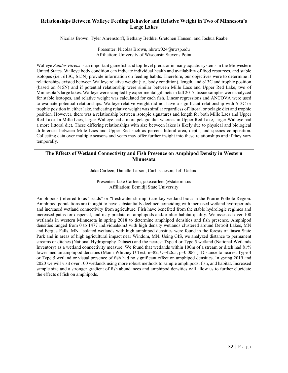# **Relationships Between Walleye Feeding Behavior and Relative Weight in Two of Minnesota's Large Lakes**

Nicolas Brown, Tyler Ahrenstorff, Bethany Bethke, Gretchen Hansen, and Joshua Raabe

Presenter: Nicolas Brown, [nbrow024@uwsp.edu](mailto:nbrow024@uwsp.edu) Affiliation: University of Wisconsin Stevens Point

Walleye *Sander vitreus* is an important gamefish and top-level predator in many aquatic systems in the Midwestern United States. Walleye body condition can indicate individual health and availability of food resources, and stable isotopes (i.e., δ13C, δ15N) provide information on feeding habits. Therefore, our objectives were to determine if relationships existed between Walleye relative weight (i.e., body condition), length, and δ13C and trophic position (based on δ15N) and if potential relationship were similar between Mille Lacs and Upper Red Lake, two of Minnesota's large lakes. Walleye were sampled by experimental gill nets in fall 2017, tissue samples were analyzed for stable isotopes, and relative weight was calculated for each fish. Linear regressions and ANCOVA were used to evaluate potential relationships. Walleye relative weight did not have a significant relationship with δ13C or trophic position in either lake, indicating relative weight was similar regardless of littoral or pelagic diet and trophic position. However, there was a relationship between isotopic signatures and length for both Mille Lacs and Upper Red Lake. In Mille Lacs, larger Walleye had a more pelagic diet whereas in Upper Red Lake, larger Walleye had a more littoral diet. These differing relationships with size between lakes is likely due to physical and biological differences between Mille Lacs and Upper Red such as percent littoral area, depth, and species composition. Collecting data over multiple seasons and years may offer further insight into these relationships and if they vary temporally.

# **The Effects of Wetland Connectivity and Fish Presence on Amphipod Density in Western Minnesota**

Jake Carleen, Danelle Larson, Carl Isaacson, Jeff Ueland

Presenter: Jake Carleen, jake.carleen@state.mn.us Affiliation: Bemidji State University

Amphipods (referred to as "scuds" or "freshwater shrimp") are key wetland biota in the Prairie Pothole Region. Amphipod populations are thought to have substantially declined coinciding with increased wetland hydroperiods and increased wetland connectivity from agriculture. Fish have benefited from the stable hydrologic regimes and increased paths for dispersal, and may predate on amphipods and/or alter habitat quality. We assessed over 100 wetlands in western Minnesota in spring 2018 to determine amphipod densities and fish presence. Amphipod densities ranged from 0 to 1477 individuals/m3 with high density wetlands clustered around Detroit Lakes, MN and Fergus Falls, MN. Isolated wetlands with high amphipod densities were found in the forests of Itasca State Park and in areas of high agricultural impact near Windom, MN. Using GIS, we analyzed distance to permanent streams or ditches (National Hydrography Dataset) and the nearest Type 4 or Type 5 wetland (National Wetlands Inventory) as a wetland connectivity measure. We found that wetlands within 100m of a stream or ditch had 81% lower median amphipod densities (Mann-Whitney U Test; n=82, U=426.5, p=0.0061). Distance to nearest Type 4 or Type 5 wetland or visual presence of fish had no significant effect on amphipod densities. In spring 2019 and 2020 we will visit over 100 wetlands using more robust methods to sample amphipods, fish, and habitat. Increased sample size and a stronger gradient of fish abundances and amphipod densities will allow us to further elucidate the effects of fish on amphipods.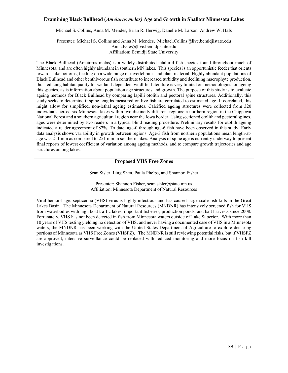### **Examining Black Bullhead (***Ameiurus melas)* **Age and Growth in Shallow Minnesota Lakes**

Michael S. Collins, Anna M. Mendes, Brian R. Herwig, Danelle M. Larson, Andrew W. Hafs

Presenter: Michael S. Collins and Anna M. Mendes, Michael.Collins@live.bemidjistate.edu Anna.Estes@live.bemidjistate.edu Affiliation: Bemidji State University

The Black Bullhead (Ameiurus melas) is a widely distributed ictalurid fish species found throughout much of Minnesota, and are often highly abundant in southern MN lakes. This species is an opportunistic feeder that orients towards lake bottoms, feeding on a wide range of invertebrates and plant material. Highly abundant populations of Black Bullhead and other benthivorous fish contribute to increased turbidity and declining macrophyte production, thus reducing habitat quality for wetland-dependent wildlife. Literature is very limited on methodologies for ageing this species, as is information about population age structures and growth. The purpose of this study is to evaluate ageing methods for Black Bullhead by comparing lapilli otolith and pectoral spine structures. Additionally, this study seeks to determine if spine lengths measured on live fish are correlated to estimated age. If correlated, this might allow for simplified, non-lethal ageing estimates. Calcified ageing structures were collected from 320 individuals across six Minnesota lakes within two distinctly different regions: a northern region in the Chippewa National Forest and a southern agricultural region near the Iowa border. Using sectioned otolith and pectoral spines, ages were determined by two readers in a typical blind reading procedure. Preliminary results for otolith ageing indicated a reader agreement of 87%. To date, age-0 through age-6 fish have been observed in this study. Early data analysis shows variability in growth between regions. Age-3 fish from northern populations mean length-atage was 211 mm as compared to 251 mm in southern lakes. Analysis of spine age is currently underway to present final reports of lowest coefficient of variation among ageing methods, and to compare growth trajectories and age structures among lakes.

## **Proposed VHS Free Zones**

Sean Sisler, Ling Shen, Paula Phelps, and Shannon Fisher

Presenter: Shannon Fisher, sean.sisler@state.mn.us Affiliation: Minnesota Department of Natural Resources

Viral hemorrhagic septicemia (VHS) virus is highly infectious and has caused large-scale fish kills in the Great Lakes Basin. The Minnesota Department of Natural Resources (MNDNR) has intensively screened fish for VHS from waterbodies with high boat traffic lakes, important fisheries, production ponds, and bait harvests since 2008. Fortunately, VHS has not been detected in fish from Minnesota waters outside of Lake Superior. With more than 10 years of VHS testing yielding no detection of VHS, and never having a documented case of VHS in a Minnesota waters, the MNDNR has been working with the United States Department of Agriculture to explore declaring portions of Minnesota as VHS Free Zones (VHSFZ). The MNDNR is still reviewing potential risks, but if VHSFZ are approved, intensive surveillance could be replaced with reduced monitoring and more focus on fish kill investigations.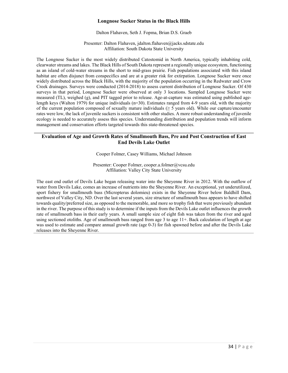## **Longnose Sucker Status in the Black Hills**

#### Dalton Flahaven, Seth J. Fopma, Brian D.S. Graeb

Presenter: Dalton Flahaven, [jdalton.flahaven@jacks.sdstate.edu](mailto:jdalton.flahaven@jacks.sdstate.edu) Affiliation: South Dakota State University

The Longnose Sucker is the most widely distributed Catostomid in North America, typically inhabiting cold, clearwater streams and lakes. The Black Hills of South Dakota represent a regionally unique ecosystem, functioning as an island of cold-water streams in the short to mid-grass prairie. Fish populations associated with this island habitat are often disjunct from conspecifics and are at a greater risk for extirpation. Longnose Sucker were once widely distributed across the Black Hills, with the majority of the population occurring in the Redwater and Crow Creek drainages. Surveys were conducted (2014-2018) to assess current distribution of Longnose Sucker. Of 430 surveys in that period, Longnose Sucker were observed at only 3 locations. Sampled Longnose Sucker were measured (TL), weighed (g), and PIT tagged prior to release. Age-at-capture was estimated using published agelength keys (Walton 1979) for unique individuals (n=30). Estimates ranged from 4-9 years old, with the majority of the current population composed of sexually mature individuals ( $\geq$  5 years old). While our capture/encounter rates were low, the lack of juvenile suckers is consistent with other studies. A more robust understanding of juvenile ecology is needed to accurately assess this species. Understanding distribution and population trends will inform management and conservation efforts targeted towards this state-threatened species.

# **Evaluation of Age and Growth Rates of Smallmouth Bass, Pre and Post Construction of East End Devils Lake Outlet**

Cooper Folmer, Casey Williams, Michael Johnson

Presenter: Cooper Folmer, cooper.a.folmer@vcsu.edu Affiliation: Valley City State University

The east end outlet of Devils Lake began releasing water into the Sheyenne River in 2012. With the outflow of water from Devils Lake, comes an increase of nutrients into the Sheyenne River. An exceptional, yet underutilized, sport fishery for smallmouth bass (Micropterus dolomieu) exists in the Sheyenne River below Baldhill Dam, northwest of Valley City, ND. Over the last several years, size structure of smallmouth bass appears to have shifted towards quality/preferred size, as opposed to the memorable, and more so trophy fish that were previously abundant in the river. The purpose of this study is to determine if the inputs from the Devils Lake outlet influences the growth rate of smallmouth bass in their early years. A small sample size of eight fish was taken from the river and aged using sectioned otoliths. Age of smallmouth bass ranged from age 3 to age 11+. Back calculation of length at age was used to estimate and compare annual growth rate (age 0-3) for fish spawned before and after the Devils Lake releases into the Sheyenne River.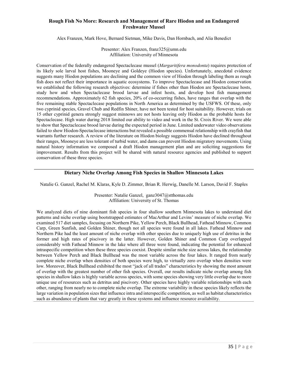# **Rough Fish No More: Research and Management of Rare Hiodon and an Endangered Freshwater Mussel**

Alex Franzen, Mark Hove, Bernard Sietman, Mike Davis, Dan Hornbach, and Alia Benedict

Presenter: Alex Franzen, franz325@umn.edu Affiliation: University of Minnesota

Conservation of the federally endangered Spectaclecase mussel (*Margaritifera monodonta*) requires protection of its likely sole larval host fishes, Mooneye and Goldeye (Hiodon species). Unfortunately, anecdotal evidence suggests many Hiodon populations are declining and the common view of Hiodon through labeling them as rough fish does not reflect their importance in aquatic ecosystems. To improve Spectaclecase and Hiodon conservation we established the following research objectives: determine if fishes other than Hiodon are Spectaclecase hosts, study how and when Spectaclecase brood larvae and infest hosts, and develop host fish management recommendations. Approximately 62 fish species, 20% of co-occurring fishes, have ranges that overlap with the five remaining stable Spectaclecase populations in North America as determined by the USFWS. Of these, only two cyprinid species, Gravel Chub and Redfin Shiner, have not been tested for host suitability. However, trials on 15 other cyprinid genera strongly suggest minnows are not hosts leaving only Hiodon as the probable hosts for Spectaclecase. High water during 2018 limited our ability to video and work in the St. Croix River. We were able to show that Spectaclecase brood larvae during the expected period in June. Limited underwater video observations failed to show Hiodon-Spectaclecase interactions but revealed a possible commensal relationship with crayfish that warrants further research. A review of the literature on Hiodon biology suggests Hiodon have declined throughout their ranges, Mooneye are less tolerant of turbid water, and dams can prevent Hiodon migratory movements. Using natural history information we composed a draft Hiodon management plan and are soliciting suggestions for improvement. Results from this project will be shared with natural resource agencies and published to support conservation of these three species.

### **Dietary Niche Overlap Among Fish Species in Shallow Minnesota Lakes**

Natalie G. Ganzel, Rachel M. Klaras, Kyle D. Zimmer, Brian R. Herwig, Danelle M. Larson, David F. Staples

Presenter: Natalie Ganzel, ganz3047@stthomas.edu Affiliation: University of St. Thomas

We analyzed diets of nine dominant fish species in four shallow southern Minnesota lakes to understand diet patterns and niche overlap using bootstrapped estimates of MacArthur and Levins' measure of niche overlap. We examined 517 diet samples, focusing on Northern Pike, Yellow Perch, Black Bullhead, Fathead Minnow, Common Carp, Green Sunfish, and Golden Shiner, though not all species were found in all lakes. Fathead Minnow and Northern Pike had the least amount of niche overlap with other species due to uniquely high use of detritus in the former and high rates of piscivory in the latter. However, Golden Shiner and Common Carp overlapped considerably with Fathead Minnow in the lake where all three were found, indicating the potential for enhanced intraspecific competition when these three species coexist. Despite similar niche size across lakes, the relationship between Yellow Perch and Black Bullhead was the most variable across the four lakes. It ranged from nearly complete niche overlap when densities of both species were high, to virtually zero overlap when densities were low. Moreover, Black Bullhead exhibited the most "jack of all trades" characteristics by showing the most amount of overlap with the greatest number of other fish species. Overall, our results indicate niche overlap among fish species in shallow lakes is highly variable across species, with some species showing very little overlap due to more unique use of resources such as detritus and piscivory. Other species have highly variable relationships with each other, ranging from nearly no to complete niche overlap. The extreme variability in these species likely reflects the large variation in population sizes that influence intra and interspecific competition, as well as habitat characteristics such as abundance of plants that vary greatly in these systems and influence resource availability.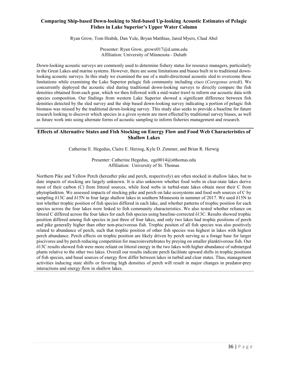# **Comparing Ship-based Down-looking to Sled-based Up-looking Acoustic Estimates of Pelagic Fishes in Lake Superior's Upper Water Column**

Ryan Grow, Tom Hrabik, Dan Yule, Bryan Matthias, Jared Myers, Chad Abel

Presenter: Ryan Grow, growx017@d.umn.edu Affiliation: University of Minnesota - Duluth

Down-looking acoustic surveys are commonly used to determine fishery status for resource managers, particularly in the Great Lakes and marine systems. However, there are some limitations and biases built in to traditional downlooking acoustic surveys. In this study we examined the use of a multi-directional acoustic sled to overcome these limitations while examining the Lake Superior pelagic fish community including cisco (*Coregonus artedi*). We concurrently deployed the acoustic sled during traditional down-looking surveys to directly compare the fish densities obtained from each gear, which we then followed with a mid-water trawl to inform our acoustic data with species composition. Our findings from western Lake Superior showed a significant difference between fish densities detected by the sled survey and the ship based down-looking survey indicating a portion of pelagic fish biomass was missed by the traditional down-looking survey. This study also seeks to provide a baseline for future research looking to discover which species in a given system are most effected by traditional survey biases, as well as future work into using alternate forms of acoustic sampling to inform fisheries management and research.

# **Effects of Alternative States and Fish Stocking on Energy Flow and Food Web Characteristics of Shallow Lakes**

Catherine E. Hegedus, Claire E. Herzog, Kyle D. Zimmer, and Brian R. Herwig

Presenter: Catherine Hegedus, ege0014@stthomas.edu Affiliation: University of St. Thomas

Northern Pike and Yellow Perch (hereafter pike and perch, respectively) are often stocked in shallow lakes, but to date impacts of stocking are largely unknown. It is also unknown whether food webs in clear-state lakes derive most of their carbon (C) from littoral sources, while food webs in turbid-state lakes obtain most their C from phytoplankton. We assessed impacts of stocking pike and perch on lake ecosystems and food web sources of C by sampling δ13C and δ15N in four large shallow lakes in southern Minnesota in summer of 2017. We used δ15N to test whether trophic position of fish species differed in each lake, and whether patterns of trophic position for each species across the four lakes were linked to fish community characteristics. We also tested whether reliance on littoral C differed across the four lakes for each fish species using baseline-corrected δ13C. Results showed trophic position differed among fish species in just three of four lakes, and only two lakes had trophic positions of perch and pike generally higher than other non-piscivorous fish. Trophic positon of all fish species was also positively related to abundance of perch, such that trophic position of other fish species was highest in lakes with highest perch abundance. Perch effects on trophic position are likely driven by perch serving as a forage base for larger piscivores and by perch reducing competition for macroinvertebrates by preying on smaller planktivorous fish. Our δ13C results showed fish were more reliant on littoral energy in the two lakes with higher abundance of submerged plants relative to the other two lakes. Overall our results indicate perch facilitate upward shifts in trophic positions of fish species, and basal sources of energy flow differ between lakes in turbid and clear states. Thus, management activities inducing state shifts or favoring high densities of perch will result in major changes in predator-prey interactions and energy flow in shallow lakes.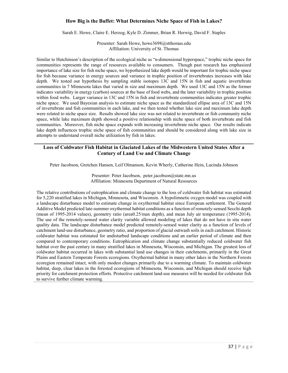# **How Big is the Buffet: What Determines Niche Space of Fish in Lakes?**

Sarah E. Howe, Claire E. Herzog, Kyle D. Zimmer, Brian R. Herwig, David F. Staples

Presenter: Sarah Howe, howe3698@stthomas.edu Affiliation: University of St. Thomas

Similar to Hutchinson's description of the ecological niche as "n-dimensional hyperspace," trophic niche space for communities represents the range of resources available to consumers. Though past research has emphasized importance of lake size for fish niche space, we hypothesized lake depth would be important for trophic niche space for fish because variance in energy sources and variance in trophic position of invertebrates increases with lake depth. We tested our hypothesis by sampling stable isotopes 13C and 15N in fish and aquatic invertebrate communities in 7 Minnesota lakes that varied in size and maximum depth. We used 13C and 15N as the former indicates variability in energy (carbon) sources at the base of food webs, and the later variability in trophic position within food webs. Larger variance in 13C and 15N in fish and invertebrate communities indicates greater trophic niche space. We used Bayesian analysis to estimate niche space as the standardized ellipse area of 13C and 15N of invertebrate and fish communities in each lake, and we then tested whether lake size and maximum lake depth were related to niche space size. Results showed lake size was not related to invertebrate or fish community niche space, while lake maximum depth showed a positive relationship with niche space of both invertebrate and fish communities. Moreover, fish niche space expands with increasing invertebrate niche space. Our results indicate lake depth influences trophic niche space of fish communities and should be considered along with lake size in attempts to understand overall niche utilization by fish in lakes.

# **Loss of Coldwater Fish Habitat in Glaciated Lakes of the Midwestern United States After a Century of Land Use and Climate Change**

Peter Jacobson, Gretchen Hansen, Leif Olmanson, Kevin Wherly, Catherine Hein, Lucinda Johnson

Presenter: Peter Jacobson, peter.jacobson@state.mn.us Affiliation: Minnesota Department of Natural Resources

The relative contributions of eutrophication and climate change to the loss of coldwater fish habitat was estimated for 5,220 stratified lakes in Michigan, Minnesota, and Wisconsin. A hypolimnetic oxygen model was coupled with a landscape disturbance model to estimate change in oxythermal habitat since European settlement. The General Additive Model predicted late-summer oxythermal habitat conditions as a function of remotely-sensed Secchi depth (mean of 1995-2014 values), geometry ratio (area0.25/max depth), and mean July air temperature (1995-2014). The use of the remotely-sensed water clarity variable allowed modeling of lakes that do not have in situ water quality data. The landscape disturbance model predicted remotely-sensed water clarity as a function of levels of catchment land-use disturbance, geometry ratio, and proportion of glacial outwash soils in each catchment. Historic coldwater habitat was estimated for undisturbed landscape conditions and an earlier period of climate and then compared to contemporary conditions. Eutrophication and climate change substantially reduced coldwater fish habitat over the past century in many stratified lakes in Minnesota, Wisconsin, and Michigan. The greatest loss of coldwater habitat occurred in lakes with substantial land use changes in their catchments, primarily in the Great Plains and Eastern Temperate Forests ecoregions. Oxythermal habitat in many other lakes in the Northern Forests ecoregion remained intact, with only modest changes primarily due to a warming climate. To maintain coldwater habitat, deep, clear lakes in the forested ecoregions of Minnesota, Wisconsin, and Michigan should receive high priority for catchment protection efforts. Protective catchment land-use measures will be needed for coldwater fish to survive further climate warming.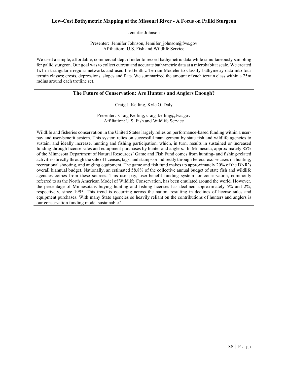## **Low-Cost Bathymetric Mapping of the Missouri River - A Focus on Pallid Sturgeon**

Jennifer Johnson

Presenter: Jennifer Johnson, Jennifer johnson@fws.gov Affiliation: U.S. Fish and Wildlife Service

We used a simple, affordable, commercial depth finder to record bathymetric data while simultaneously sampling for pallid sturgeon. Our goal was to collect current and accurate bathymetric data at a microhabitat scale. We created 1x1 m triangular irregular networks and used the Benthic Terrain Modeler to classify bathymetry data into four terrain classes; crests, depressions, slopes and flats. We summarized the amount of each terrain class within a 25m radius around each trotline set.

# **The Future of Conservation: Are Hunters and Anglers Enough?**

Craig J. Kelling, Kyle O. Daly

Presenter: Craig Kelling, craig kelling@fws.gov Affiliation: U.S. Fish and Wildlife Service

Wildlife and fisheries conservation in the United States largely relies on performance-based funding within a userpay and user-benefit system. This system relies on successful management by state fish and wildlife agencies to sustain, and ideally increase, hunting and fishing participation, which, in turn, results in sustained or increased funding through license sales and equipment purchases by hunter and anglers. In Minnesota, approximately 85% of the Minnesota Department of Natural Resources' Game and Fish Fund comes from hunting- and fishing-related activities directly through the sale of licenses, tags, and stamps or indirectly through federal excise taxes on hunting, recreational shooting, and angling equipment. The game and fish fund makes up approximately 20% of the DNR's overall biannual budget. Nationally, an estimated 58.8% of the collective annual budget of state fish and wildlife agencies comes from these sources. This user-pay, user-benefit funding system for conservation, commonly referred to as the North American Model of Wildlife Conservation, has been emulated around the world. However, the percentage of Minnesotans buying hunting and fishing licenses has declined approximately 5% and 2%, respectively, since 1995. This trend is occurring across the nation, resulting in declines of license sales and equipment purchases. With many State agencies so heavily reliant on the contributions of hunters and anglers is our conservation funding model sustainable?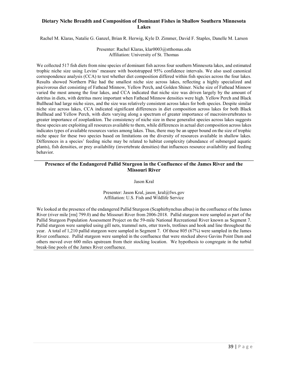# **Dietary Niche Breadth and Composition of Dominant Fishes in Shallow Southern Minnesota Lakes**

Rachel M. Klaras, Natalie G. Ganzel, Brian R. Herwig, Kyle D. Zimmer, David F. Staples, Danelle M. Larson

Presenter: Rachel Klaras, klar0003@stthomas.edu Affiliation: University of St. Thomas

We collected 517 fish diets from nine species of dominant fish across four southern Minnesota lakes, and estimated trophic niche size using Levins' measure with bootstrapped 95% confidence intervals. We also used canonical correspondence analysis (CCA) to test whether diet composition differed within fish species across the four lakes. Results showed Northern Pike had the smallest niche size across lakes, reflecting a highly specialized and piscivorous diet consisting of Fathead Minnow, Yellow Perch, and Golden Shiner. Niche size of Fathead Minnow varied the most among the four lakes, and CCA indicated that niche size was driven largely by the amount of detritus in diets, with detritus more important when Fathead Minnow densities were high. Yellow Perch and Black Bullhead had large niche sizes, and the size was relatively consistent across lakes for both species. Despite similar niche size across lakes, CCA indicated significant differences in diet composition across lakes for both Black Bullhead and Yellow Perch, with diets varying along a spectrum of greater importance of macroinvertebrates to greater importance of zooplankton. The consistency of niche size in these generalist species across lakes suggests these species are exploiting all resources available to them, while differences in actual diet composition across lakes indicates types of available resources varies among lakes. Thus, there may be an upper bound on the size of trophic niche space for these two species based on limitations on the diversity of resources available in shallow lakes. Differences in a species' feeding niche may be related to habitat complexity (abundance of submerged aquatic plants), fish densities, or prey availability (invertebrate densities) that influences resource availability and feeding behavior.

# **Presence of the Endangered Pallid Sturgeon in the Confluence of the James River and the Missouri River**

Jason Kral

Presenter: Jason Kral, jason\_kral@fws.gov Affiliation: U.S. Fish and Wildlife Service

We looked at the presence of the endangered Pallid Sturgeon (Scaphirhynchus albus) in the confluence of the James River (river mile [rm] 799.0) and the Missouri River from 2006-2018. Pallid sturgeon were sampled as part of the Pallid Sturgeon Population Assessment Project on the 59-mile National Recreational River known as Segment 7. Pallid sturgeon were sampled using gill nets, trammel nets, otter trawls, trotlines and hook and line throughout the year. A total of 1,210 pallid sturgeon were sampled in Segment 7. Of those 805 (67%) were sampled in the James River confluence. Pallid sturgeon were sampled in the confluence that were stocked above Gavins Point Dam and others moved over 600 miles upstream from their stocking location. We hypothesis to congregate in the turbid break-line pools of the James River confluence.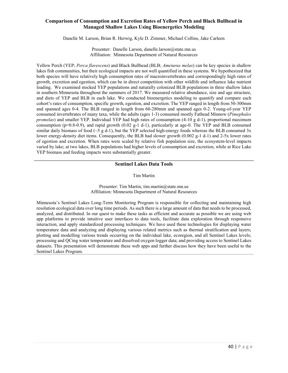# **Comparison of Consumption and Excretion Rates of Yellow Perch and Black Bullhead in Managed Shallow Lakes Using Bioenergetics Modeling**

Danelle M. Larson, Brian R. Herwig, Kyle D. Zimmer, Michael Collins, Jake Carleen

Presenter: Danelle Larson, danelle.larson@state.mn.us Affiliation: Minnesota Department of Natural Resources

Yellow Perch (YEP; *Perca flavescens*) and Black Bullhead (BLB; *Ameiurus melas*) can be key species in shallow lakes fish communities, but their ecological impacts are not well quantified in these systems. We hypothesized that both species will have relatively high consumption rates of macroinvertebrates and correspondingly high rates of growth, excretion and egestion, which can be in direct competition with other wildlife and influence lake nutrient loading. We examined stocked YEP populations and naturally colonized BLB populations in three shallow lakes in southern Minnesota throughout the summers of 2017. We measured relative abundance, size and age structure, and diets of YEP and BLB in each lake. We conducted bioenergetics modeling to quantify and compare each cohort's rates of consumption, specific growth, egestion, and excretion. The YEP ranged in length from 50-300mm and spanned ages 0-4. The BLB ranged in length from 60-280mm and spanned ages 0-2. Young-of-year YEP consumed invertebrates of many taxa, while the adults (ages 1-3) consumed mostly Fathead Minnow (*Pimephales promelas*) and smaller YEP. Individual YEP had high rates of consumption (4-10 g d-1), proportional maximum consumption ( $p=0.8-0.9$ ), and rapid growth (0.02 g-1 d-1), particularly at age-0. The YEP and BLB consumed similar daily biomass of food ( $\sim$ 5 g d-1), but the YEP selected high-energy foods whereas the BLB consumed 3x lower energy-density diet items. Consequently, the BLB had slower growth (0.002 g-1 d-1) and 2-5x lower rates of egestion and excretion. When rates were scaled by relative fish population size, the ecosystem-level impacts varied by lake; at two lakes, BLB populations had higher levels of consumption and excretion, while at Rice Lake YEP biomass and feeding impacts were substantially greater.

## **Sentinel Lakes Data Tools**

Tim Martin

#### Presenter: Tim Martin, tim.martin@state.mn.us Affiliation: Minnesota Department of Natural Resources

Minnesota's Sentinel Lakes Long-Term Monitoring Program is responsible for collecting and maintaining high resolution ecological data over long time periods. As such there is a large amount of data that needs to be processed, analyzed, and distributed. In our quest to make these tasks as efficient and accurate as possible we are using web app platforms to provide intuitive user interfaces to data tools, facilitate data exploration through responsive interaction, and apply standardized processing techniques. We have used these technologies for displaying water temperature data and analyzing and displaying various related metrics such as thermal stratification and layers; plotting and modelling various trends occurring on the individual lake, ecoregion, and all Sentinel Lakes levels; processing and QCing water temperature and dissolved oxygen logger data; and providing access to Sentinel Lakes datasets. This presentation will demonstrate these web apps and further discuss how they have been useful to the Sentinel Lakes Program.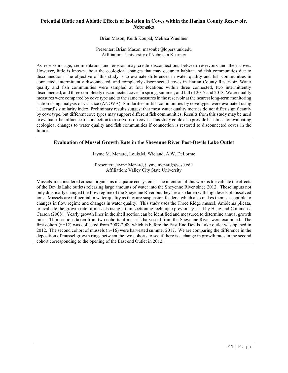# **Potential Biotic and Abiotic Effects of Isolation in Coves within the Harlan County Reservoir, Nebraska**

Brian Mason, Keith Koupal, Melissa Wuellner

Presenter: Brian Mason, masonbe@lopers.unk.edu Affiliation: University of Nebraska Kearney

As reservoirs age, sedimentation and erosion may create disconnections between reservoirs and their coves. However, little is known about the ecological changes that may occur to habitat and fish communities due to disconnection. The objective of this study is to evaluate differences in water quality and fish communities in connected, intermittently disconnected, and completely disconnected coves in Harlan County Reservoir. Water quality and fish communities were sampled at four locations within three connected, two intermittently disconnected, and three completely disconnected coves in spring, summer, and fall of 2017 and 2018. Water quality measures were compared by cove type and to the same measures in the reservoir at the nearest long-term monitoring station using analysis of variance (ANOVA). Similarities in fish communities by cove types were evaluated using a Jaccard's similarity index. Preliminary results suggest that most water quality metrics do not differ significantly by cove type, but different cove types may support different fish communities. Results from this study may be used to evaluate the influence of connection to reservoirs on coves. This study could also provide baselines for evaluating ecological changes to water quality and fish communities if connection is restored to disconnected coves in the future.

## **Evaluation of Mussel Growth Rate in the Sheyenne River Post-Devils Lake Outlet**

Jayme M. Menard, Louis.M. Wieland, A.W. DeLorme

Presenter: Jayme Menard, jayme.menard@vcsu.edu Affiliation: Valley City State University

Mussels are considered crucial organisms in aquatic ecosystems. The intention of this work is to evaluate the effects of the Devils Lake outlets releasing large amounts of water into the Sheyenne River since 2012. These inputs not only drastically changed the flow regime of the Sheyenne River but they are also laden with high levels of dissolved ions. Mussels are influential in water quality as they are suspension feeders, which also makes them susceptible to changes in flow regime and changes in water quality. This study uses the Three Ridge mussel, Amblema plicata, to evaluate the growth rate of mussels using a thin-sectioning technique previously used by Haag and Commens-Carson (2008). Yearly growth lines in the shell section can be identified and measured to determine annual growth rates. Thin sections taken from two cohorts of mussels harvested from the Sheyenne River were examined. The first cohort (n=12) was collected from 2007-2009 which is before the East End Devils Lake outlet was opened in 2012. The second cohort of mussels (n=16) were harvested summer 2017. We are comparing the difference in the deposition of mussel growth rings between the two cohorts to see if there is a change in growth rates in the second cohort corresponding to the opening of the East end Outlet in 2012.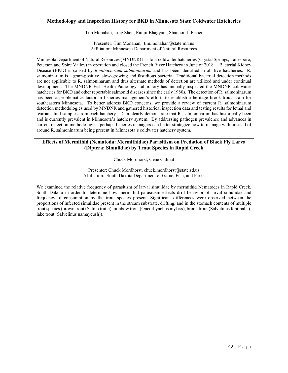## **Methodology and Inspection History for BKD in Minnesota State Coldwater Hatcheries**

Tim Monahan, Ling Shen, Ranjit Bhagyam, Shannon J. Fisher

Presenter: Tim Monahan, tim.monahan@state.mn.us Affiliation: Minnesota Department of Natural Resources

Minnesota Department of Natural Resources (MNDNR) has four coldwater hatcheries (Crystal Springs, Lanesboro, Peterson and Spire Valley) in operation and closed the French River Hatchery in June of 2018. Bacterial Kidney Disease (BKD) is caused by *Renibacterium salmoninarum* and has been identified in all five hatcheries. R. salmoninarum is a gram-positive, slow-growing and fastidious bacteria. Traditional bacterial detection methods are not applicable to R. salmoninarum and thus alternate methods of detection are utilized and under continual development. The MNDNR Fish Health Pathology Laboratory has annually inspected the MNDNR coldwater hatcheries for BKD and other reportable salmonid diseases since the early 1980s. The detection of R. salmoninarum has been a problematics factor in fisheries management's efforts to establish a heritage brook trout strain for southeastern Minnesota. To better address BKD concerns, we provide a review of current R. salmoninarum detection methodologies used by MNDNR and gathered historical inspection data and testing results for lethal and ovarian fluid samples from each hatchery. Data clearly demonstrate that R. salmoninarum has historically been and is currently prevalent in Minnesota's hatchery system. By addressing pathogen prevalence and advances in current detection methodologies, perhaps fisheries managers can better strategize how to manage with, instead of around R. salmoninarum being present in Minnesota's coldwater hatchery system.

## **Effects of Mermithid (Nematoda: Mermithidae) Parasitism on Predation of Black Fly Larva (Diptera: Simulidae) by Trout Species in Rapid Creek**

Chuck Mordhorst, Gene Galinat

Presenter: Chuck Mordhorst, chuck.mordhorst@state.sd.us Affiliation: South Dakota Department of Game, Fish, and Parks

We examined the relative frequency of parasitism of larval simulidae by mermithid Nematodes in Rapid Creek, South Dakota in order to determine how mermithid parasitism effects drift behavior of larval simulidae and frequency of consumption by the trout species present. Significant differences were observed between the proportions of infected simulidae present in the stream substrate, drifting, and in the stomach contents of multiple trout species (brown trout (Salmo trutta), rainbow trout (Oncorhynchus mykiss), brook trout (Salvelinus fontinalis), lake trout (Salvelinus namaycush)).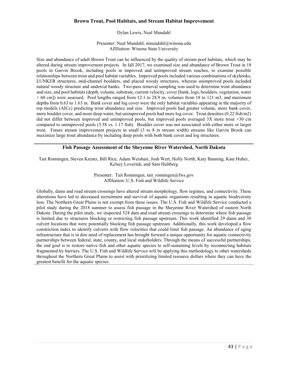# **Brown Trout, Pool Habitats, and Stream Habitat Improvement**

## Dylan Lewis, Neal Mundahl

Presenter: Neal Mundahl, nmundahl@winona.edu Affiliation: Winona State University

Size and abundance of adult Brown Trout can be influenced by the quality of stream pool habitats, which may be altered during stream improvement projects. In fall 2017, we examined size and abundance of Brown Trout in 18 pools in Garvin Brook, including pools in improved and unimproved stream reaches, to examine possible relationships between trout and pool habitat variables. Improved pools included various combinations of skyhooks, LUNKER structures, mid-channel boulders, and placed woody structures, whereas unimproved pools included natural woody structure and undercut banks. Two-pass removal sampling was used to determine trout abundance and size, and pool habitats (depth, volume, substrate, current velocity, cover [bank, logs, boulders, vegetation, water  $> 60$  cm]) were assessed. Pool lengths ranged from 12.1 to 28.9 m, volumes from 18 to 121 m3, and maximum depths from 0.63 to 1.63 m. Bank cover and log cover were the only habitat variables appearing in the majority of top models (AICc) predicting trout abundance and size. Improved pools had greater volume, more bank cover, more boulder cover, and more deep water, but unimproved pools had more log cover. Trout densities (0.22 fish/m2) did not differ between improved and unimproved pools, but improved pools averaged 3X more trout >30 cm compared to unimproved pools (3.58 vs. 1.17 fish). Boulder cover was not associated with either more or larger trout. Future stream improvement projects in small (3 to 8 m stream width) streams like Garvin Brook can maximize large trout abundance by including deep pools with both bank cover and log structures.

# **Fish Passage Assessment of the Sheyenne River Watershed, North Dakota**

Tait Ronningen, Steven Krentz, Bill Rice, Adam Weishair, Josh Wert, Holly North, Katy Banning, Kate Huber, Kelsey Loverink, and Sam Hultberg

> Presenter: Tait Ronningen, tait ronningen@fws.gov Affiliation: U.S. Fish and Wildlife Service

Globally, dams and road stream crossings have altered stream morphology, flow regimes, and connectivity. These alterations have led to decreased recruitment and survival of aquatic organisms resulting in aquatic biodiversity loss. The Northern Great Plains is not exempt from these issues. The U.S. Fish and Wildlife Service conducted a pilot study during the 2018 summer to assess fish passage in the Sheyenne River Watershed of eastern North Dakota. During the pilot study, we inspected 524 dam and road stream crossings to determine where fish passage is limited due to structures blocking or restricting fish passage upstream. This work identified 29 dams and 30 culvert locations that were potentially blocking fish passage upstream. Additionally, this work developed a flow constriction index to identify culverts with flow velocities that could limit fish passage. An abundance of aging infrastructure that is in dire need of replacement has brought forward a unique opportunity for aquatic connectivity partnerships between federal, state, county, and local stakeholders. Through the means of successful partnerships, the end goal is to restore native fish and other aquatic species to self-sustaining levels by reconnecting habitats fragmented by barriers. The U.S. Fish and Wildlife Service will be applying this methodology to other watersheds throughout the Northern Great Plains to assist with prioritizing limited resource dollars where they can have the greatest benefit for the aquatic species.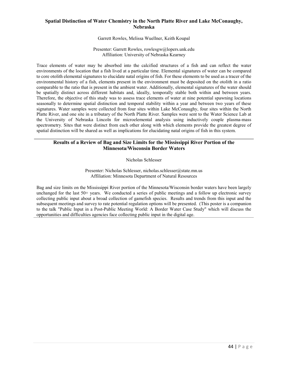# **Spatial Distinction of Water Chemistry in the North Platte River and Lake McConaughy, Nebraska**

Garrett Rowles, Melissa Wuellner, Keith Koupal

Presenter: Garrett Rowles, rowlesgw@lopers.unk.edu Affiliation: University of Nebraska Kearney

Trace elements of water may be absorbed into the calcified structures of a fish and can reflect the water environments of the location that a fish lived at a particular time. Elemental signatures of water can be compared to core otolith elemental signatures to elucidate natal origins of fish. For these elements to be used as a tracer of the environmental history of a fish, elements present in the environment must be deposited on the otolith in a ratio comparable to the ratio that is present in the ambient water. Additionally, elemental signatures of the water should be spatially distinct across different habitats and, ideally, temporally stable both within and between years. Therefore, the objective of this study was to assess trace elements of water at nine potential spawning locations seasonally to determine spatial distinction and temporal stability within a year and between two years of these signatures. Water samples were collected from four sites within Lake McConaughy, four sites within the North Platte River, and one site in a tributary of the North Platte River. Samples were sent to the Water Science Lab at the University of Nebraska Lincoln for microelemental analysis using inductively couple plasma-mass spectrometry. Sites that were distinct from each other along with which elements provide the greatest degree of spatial distinction will be shared as well as implications for elucidating natal origins of fish in this system.

# **Results of a Review of Bag and Size Limits for the Mississippi River Portion of the Minnesota/Wisconsin Border Waters**

Nicholas Schlesser

Presenter: Nicholas Schlesser, nicholas.schlesser@state.mn.us Affiliation: Minnesota Department of Natural Resources

Bag and size limits on the Mississippi River portion of the Minnesota/Wisconsin border waters have been largely unchanged for the last 50+ years. We conducted a series of public meetings and a follow up electronic survey collecting public input about a broad collection of gamefish species. Results and trends from this input and the subsequent meetings and survey to rate potential regulation options will be presented. (This poster is a companion to the talk "Public Input in a Post-Public Meeting World: A Border Water Case Study" which will discuss the opportunities and difficulties agencies face collecting public input in the digital age.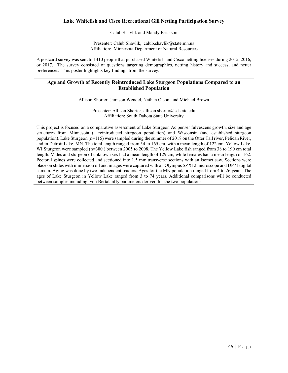# **Lake Whitefish and Cisco Recreational Gill Netting Participation Survey**

Calub Shavlik and Mandy Erickson

Presenter: Calub Shavlik, calub.shavlik@state.mn.us Affiliation: Minnesota Department of Natural Resources

A postcard survey was sent to 1410 people that purchased Whitefish and Cisco netting licenses during 2015, 2016, or 2017. The survey consisted of questions targeting demographics, netting history and success, and netter preferences. This poster highlights key findings from the survey.

## **Age and Growth of Recently Reintroduced Lake Sturgeon Populations Compared to an Established Population**

Allison Shorter, Jamison Wendel, Nathan Olson, and Michael Brown

Presenter: Allison Shorter, allison.shorter@sdstate.edu Affiliation: South Dakota State University

This project is focused on a comparative assessment of Lake Sturgeon Acipenser fulvescens growth, size and age structures from Minnesota (a reintroduced sturgeon population) and Wisconsin (and established sturgeon population). Lake Sturgeon (n=115) were sampled during the summer of 2018 on the Otter Tail river, Pelican River, and in Detroit Lake, MN. The total length ranged from 54 to 165 cm, with a mean length of 122 cm. Yellow Lake, WI Sturgeon were sampled (n=380) between 2005 to 2008. The Yellow Lake fish ranged from 38 to 190 cm total length. Males and sturgeon of unknown sex had a mean length of 129 cm, while females had a mean length of 162. Pectoral spines were collected and sectioned into 1.5 mm transverse sections with an Isomet saw. Sections were place on slides with immersion oil and images were captured with an Olympus SZX12 microscope and DP71 digital camera. Aging was done by two independent readers. Ages for the MN population ranged from 4 to 26 years. The ages of Lake Sturgeon in Yellow Lake ranged from 3 to 74 years. Additional comparisons will be conducted between samples including, von Bertalanffy parameters derived for the two populations.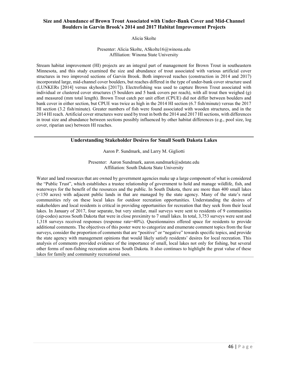# **Size and Abundance of Brown Trout Associated with Under-Bank Cover and Mid-Channel Boulders in Garvin Brook's 2014 and 2017 Habitat Improvement Projects**

Alicia Skolte

#### Presenter: Alicia Skolte, ASkolte16@winona.edu Affiliation: Winona State University

Stream habitat improvement (HI) projects are an integral part of management for Brown Trout in southeastern Minnesota, and this study examined the size and abundance of trout associated with various artificial cover structures in two improved sections of Garvin Brook. Both improved reaches (construction in 2014 and 2017) incorporated large, mid-channel cover boulders, but reaches differed in the type of under-bank cover structure used (LUNKERs [2014] versus skyhooks [2017]). Electrofishing was used to capture Brown Trout associated with individual or clustered cover structures (5 boulders and 5 bank covers per reach), with all trout then weighed (g) and measured (mm total length). Brown Trout catch per unit effort (CPUE) did not differ between boulders and bank cover in either section, but CPUE was twice as high in the 2014 HI section (6.7 fish/minute) versus the 2017 HI section (3.2 fish/minute). Greater numbers of fish were found associated with wooden structures, and in the 2014 HI reach. Artificial cover structures were used by trout in both the 2014 and 2017 HI sections, with differences in trout size and abundance between sections possibly influenced by other habitat differences (e.g., pool size, log cover, riparian use) between HI reaches.

## **Understanding Stakeholder Desires for Small South Dakota Lakes**

Aaron P. Sundmark, and Larry M. Gigliotti

Presenter: Aaron Sundmark, aaron.sundmark@sdstate.edu Affiliation: South Dakota State University

Water and land resources that are owned by government agencies make up a large component of what is considered the "Public Trust", which establishes a trustee relationship of government to hold and manage wildlife, fish, and waterways for the benefit of the resources and the public. In South Dakota, there are more than 400 small lakes (<150 acres) with adjacent public lands in that are managed by the state agency. Many of the state's rural communities rely on these local lakes for outdoor recreation opportunities. Understanding the desires of stakeholders and local residents is critical in providing opportunities for recreation that they seek from their local lakes. In January of 2017, four separate, but very similar, mail surveys were sent to residents of 9 communities (zip-codes) across South Dakota that were in close proximity to 7 small lakes. In total, 3,753 surveys were sent and 1,318 surveys received responses (response rate=40%). Questionnaires offered space for residents to provide additional comments. The objectives of this poster were to categorize and enumerate comment topics from the four surveys, consider the proportion of comments that are "positive" or "negative" towards specific topics, and provide the state agency with management opinions that would likely satisfy residents' desires for local recreation. This analysis of comments provided evidence of the importance of small, local lakes not only for fishing, but several other forms of non-fishing recreation across South Dakota. It also continues to highlight the great value of these lakes for family and community recreational uses.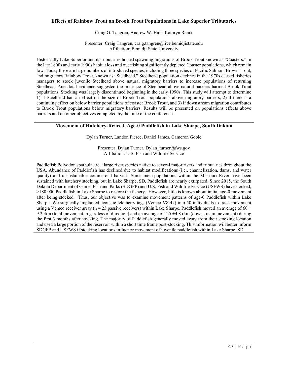## **Effects of Rainbow Trout on Brook Trout Populations in Lake Superior Tributaries**

#### Craig G. Tangren, Andrew W. Hafs, Kathryn Renik

Presenter: Craig Tangren, craig.tangren@live.bemidjistate.edu Affiliation: Bemidji State University

Historically Lake Superior and its tributaries hosted spawning migrations of Brook Trout known as "Coasters." In the late 1800s and early 1900s habitat loss and overfishing significantly depleted Coaster populations, which remain low. Today there are large numbers of introduced species, including three species of Pacific Salmon, Brown Trout, and migratory Rainbow Trout, known as "Steelhead." Steelhead population declines in the 1970s caused fisheries managers to stock juvenile Steelhead above natural migratory barriers to increase populations of returning Steelhead. Anecdotal evidence suggested the presence of Steelhead above natural barriers harmed Brook Trout populations. Stocking was largely discontinued beginning in the early 1990s. This study will attempt to determine 1) if Steelhead had an effect on the size of Brook Trout populations above migratory barriers, 2) if there is a continuing effect on below barrier populations of coaster Brook Trout, and 3) if downstream migration contributes to Brook Trout populations below migratory barriers. Results will be presented on populations effects above barriers and on other objectives completed by the time of the conference.

### **Movement of Hatchery-Reared, Age-0 Paddlefish in Lake Sharpe, South Dakota**

Dylan Turner, Landon Pierce, Daniel James, Cameron Goble

Presenter: Dylan Turner, Dylan\_turner@fws.gov Affiliation: U.S. Fish and Wildlife Service

Paddlefish Polyodon spathula are a large river species native to several major rivers and tributaries throughout the USA. Abundance of Paddlefish has declined due to habitat modifications (i.e., channelization, dams, and water quality) and unsustainable commercial harvest. Some meta-populations within the Missouri River have been sustained with hatchery stocking, but in Lake Sharpe, SD, Paddlefish are nearly extirpated. Since 2015, the South Dakota Department of Game, Fish and Parks (SDGFP) and U.S. Fish and Wildlife Service (USFWS) have stocked, >180,000 Paddlefish in Lake Sharpe to restore the fishery. However, little is known about initial age-0 movement after being stocked. Thus, our objective was to examine movement patterns of age-0 Paddlefish within Lake Sharpe. We surgically implanted acoustic telemetry tags (Vemco V8-4x) into 50 individuals to track movement using a Vemco receiver array (n = 23 passive receivers) within Lake Sharpe. Paddlefish moved an average of 60  $\pm$ 9.2 rkm (total movement, regardless of direction) and an average of -25 ±4.8 rkm (downstream movement) during the first 3 months after stocking. The majority of Paddlefish generally moved away from their stocking location and used a large portion of the reservoir within a short time frame post-stocking. This information will better inform SDGFP and USFWS if stocking locations influence movement of juvenile paddlefish within Lake Sharpe, SD.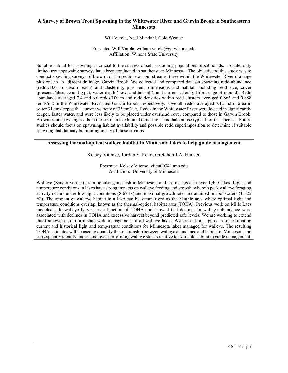# **A Survey of Brown Trout Spawning in the Whitewater River and Garvin Brook in Southeastern Minnesota**

Will Varela, Neal Mundahl, Cole Weaver

Presenter: Will Varela, william.varela@go.winona.edu Affiliation: Winona State University

Suitable habitat for spawning is crucial to the success of self-sustaining populations of salmonids. To date, only limited trout spawning surveys have been conducted in southeastern Minnesota. The objective of this study was to conduct spawning surveys of brown trout in sections of four streams, three within the Whitewater River drainage plus one in an adjacent drainage, Garvin Brook. We collected and compared data on spawning redd abundance (redds/100 m stream reach) and clustering, plus redd dimensions and habitat, including redd size, cover (presence/absence and type), water depth (bowl and tailspill), and current velocity (front edge of mound). Redd abundance averaged 7.4 and 6.0 redds/100 m and redd densities within redd clusters averaged 0.863 and 0.888 redds/m2 in the Whitewater River and Garvin Brook, respectively. Overall, redds averaged 0.42 m2 in area in water 31 cm deep with a current velocity of 35 cm/sec. Redds in the Whitewater River were located in significantly deeper, faster water, and were less likely to be placed under overhead cover compared to those in Garvin Brook. Brown trout spawning redds in these streams exhibited dimensions and habitat use typical for this species. Future studies should focus on spawning habitat availability and possible redd superimposition to determine if suitable spawning habitat may be limiting in any of these streams.

## **Assessing thermal-optical walleye habitat in Minnesota lakes to help guide management**

Kelsey Vitense, Jordan S. Read, Gretchen J.A. Hansen

Presenter: Kelsey Vitense, viten003@umn.edu Affiliation: University of Minnesota

Walleye (Sander vitreus) are a popular game fish in Minnesota and are managed in over 1,400 lakes. Light and temperature conditions in lakes have strong impacts on walleye feeding and growth, wherein peak walleye foraging activity occurs under low light conditions (8-68 lx) and maximal growth rates are attained in cool waters (11-25 °C). The amount of walleye habitat in a lake can be summarized as the benthic area where optimal light and temperature conditions overlap, known as the thermal-optical habitat area (TOHA). Previous work on Mille Lacs modeled safe walleye harvest as a function of TOHA and showed that declines in walleye abundance were associated with declines in TOHA and excessive harvest beyond predicted safe levels. We are working to extend this framework to inform state-wide management of all walleye lakes. We present our approach for estimating current and historical light and temperature conditions for Minnesota lakes managed for walleye. The resulting TOHA estimates will be used to quantify the relationship between walleye abundance and habitat in Minnesota and subsequently identify under- and over-performing walleye stocks relative to available habitat to guide management.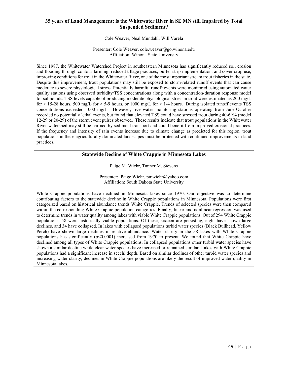# **35 years of Land Management; is the Whitewater River in SE MN still Impaired by Total Suspended Sediment?**

Cole Weaver, Neal Mundahl, Will Varela

Presenter: Cole Weaver, cole.weaver@go.winona.edu Affiliation: Winona State University

Since 1987, the Whitewater Watershed Project in southeastern Minnesota has significantly reduced soil erosion and flooding through contour farming, reduced tillage practices, buffer strip implementation, and cover crop use, improving conditions for trout in the Whitewater River, one of the most important stream trout fisheries in the state. Despite this improvement, trout populations may still be exposed to storm-related runoff events that can cause moderate to severe physiological stress. Potentially harmful runoff events were monitored using automated water quality stations using observed turbidity/TSS concentrations along with a concentration-duration response model for salmonids. TSS levels capable of producing moderate physiological stress in trout were estimated as 200 mg/L for  $> 15-28$  hours, 500 mg/L for  $> 5-9$  hours, or 1000 mg/L for  $> 1-4$  hours. During isolated runoff events TSS concentrations exceeded 1000 mg/L. However, five water monitoring stations operating from June-October recorded no potentially lethal events, but found that elevated TSS could have stressed trout during 40-69% (model 12-29 or 20-29) of the storm event pulses observed. These results indicate that trout populations in the Whitewater River watershed may still be harmed by sediment transport and could benefit from improved erosional practices. If the frequency and intensity of rain events increase due to climate change as predicted for this region, trout populations in these agriculturally dominated landscapes must be protected with continued improvements in land practices.

## **Statewide Decline of White Crappie in Minnesota Lakes**

Paige M. Wiehr, Tanner M. Stevens

Presenter: Paige Wiehr, pmwiehr@yahoo.com Affiliation: South Dakota State University

White Crappie populations have declined in Minnesota lakes since 1970. Our objective was to determine contributing factors to the statewide decline in White Crappie populations in Minnesota. Populations were first categorized based on historical abundance trends White Crappie. Trends of selected species were then compared within the corresponding White Crappie population categories. Finally, linear and nonlinear regression was used to determine trends in water quality among lakes with viable White Crappie populations. Out of 294 White Crappie populations, 58 were historically viable populations. Of these, sixteen are persisting, eight have shown large declines, and 34 have collapsed. In lakes with collapsed populations turbid water species (Black Bullhead, Yellow Perch) have shown large declines in relative abundance. Water clarity in the 58 lakes with White Crappie populations has significantly  $(p<0.0001)$  increased from 1970 to present. We found that White Crappie have declined among all types of White Crappie populations. In collapsed populations other turbid water species have shown a similar decline while clear water species have increased or remained similar. Lakes with White Crappie populations had a significant increase in secchi depth. Based on similar declines of other turbid water species and increasing water clarity; declines in White Crappie populations are likely the result of improved water quality in Minnesota lakes.